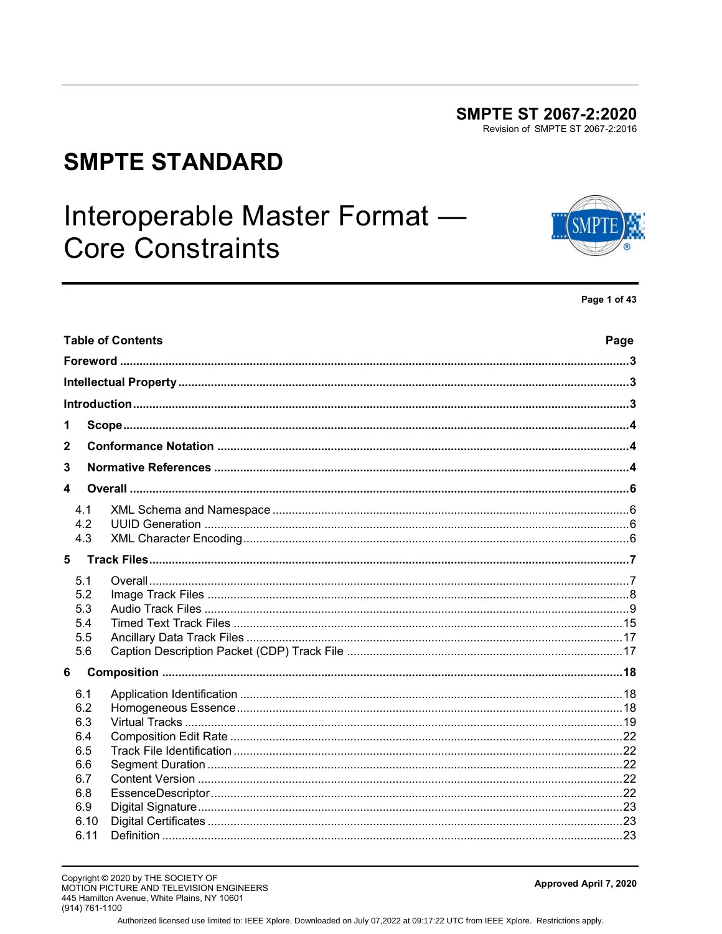Revision of SMPTE ST 2067-2:2016

# **SMPTE STANDARD**

# Interoperable Master Format -**Core Constraints**



Page 1 of 43

| 1<br>$\overline{\mathbf{2}}$<br>3<br>4<br>4.1<br>4.2<br>4.3<br>5<br>5.1<br>5.2<br>5.3<br>5.4<br>5.5<br>5.6<br>6<br>6.1<br>6.2<br>6.3<br>6.4<br>6.5<br>6.6<br>6.7<br>6.8<br>6.9<br>6.10<br>6.11 |  | <b>Table of Contents</b> | Page |
|------------------------------------------------------------------------------------------------------------------------------------------------------------------------------------------------|--|--------------------------|------|
|                                                                                                                                                                                                |  |                          |      |
|                                                                                                                                                                                                |  |                          |      |
|                                                                                                                                                                                                |  |                          |      |
|                                                                                                                                                                                                |  |                          |      |
|                                                                                                                                                                                                |  |                          |      |
|                                                                                                                                                                                                |  |                          |      |
|                                                                                                                                                                                                |  |                          |      |
|                                                                                                                                                                                                |  |                          |      |
|                                                                                                                                                                                                |  |                          |      |
|                                                                                                                                                                                                |  |                          |      |
|                                                                                                                                                                                                |  |                          |      |
|                                                                                                                                                                                                |  |                          |      |
|                                                                                                                                                                                                |  |                          |      |
|                                                                                                                                                                                                |  |                          |      |
|                                                                                                                                                                                                |  |                          |      |
|                                                                                                                                                                                                |  |                          |      |
|                                                                                                                                                                                                |  |                          |      |
|                                                                                                                                                                                                |  |                          |      |
|                                                                                                                                                                                                |  |                          |      |
|                                                                                                                                                                                                |  |                          |      |
|                                                                                                                                                                                                |  |                          |      |
|                                                                                                                                                                                                |  |                          |      |
|                                                                                                                                                                                                |  |                          |      |
|                                                                                                                                                                                                |  |                          |      |
|                                                                                                                                                                                                |  |                          |      |
|                                                                                                                                                                                                |  |                          |      |
|                                                                                                                                                                                                |  |                          |      |
|                                                                                                                                                                                                |  |                          |      |
|                                                                                                                                                                                                |  |                          |      |

Authorized licensed use limited to: IEEE Xplore. Downloaded on July 07,2022 at 09:17:22 UTC from IEEE Xplore. Restrictions apply.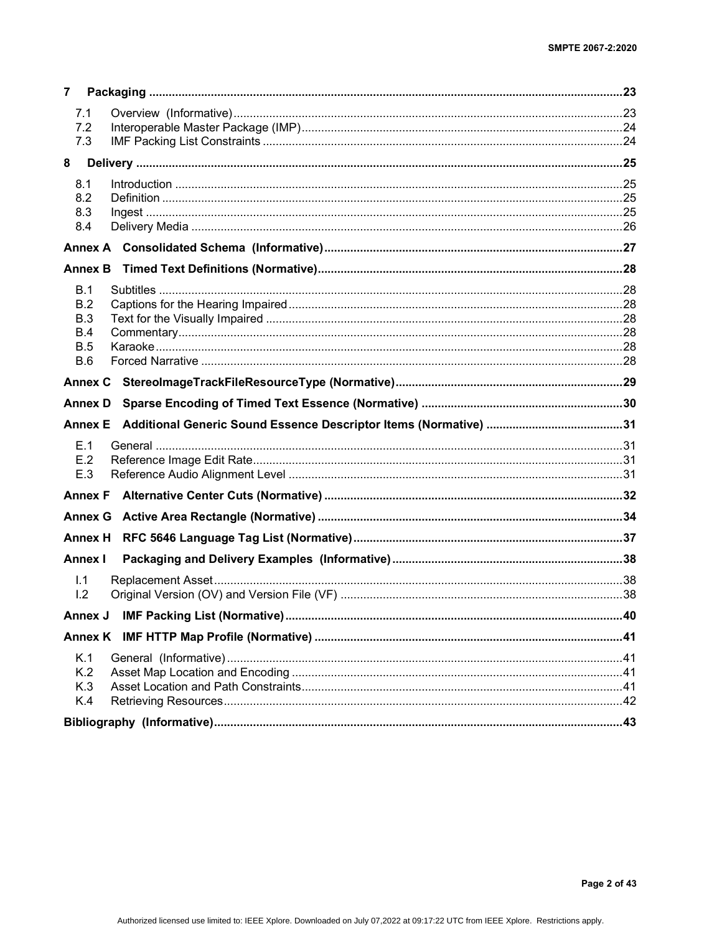| $\overline{7}$ |                |  |
|----------------|----------------|--|
|                | 7.1            |  |
|                | 7.2            |  |
|                | 7.3            |  |
| 8              |                |  |
|                | 8.1            |  |
|                | 8.2            |  |
|                | 8.3            |  |
|                | 8.4            |  |
|                |                |  |
|                | <b>Annex B</b> |  |
|                | B.1            |  |
|                | B.2            |  |
|                | B.3            |  |
|                | B.4            |  |
|                | B.5            |  |
|                | B.6            |  |
|                | <b>Annex C</b> |  |
|                | <b>Annex D</b> |  |
|                | <b>Annex E</b> |  |
|                | E.1            |  |
|                | E.2            |  |
|                | E.3            |  |
|                | <b>Annex F</b> |  |
|                |                |  |
|                | <b>Annex H</b> |  |
|                | <b>Annex I</b> |  |
|                | 1.1            |  |
|                | 1.2            |  |
|                |                |  |
|                |                |  |
|                | K.1            |  |
|                | K.2            |  |
|                | K.3            |  |
|                | K.4            |  |
|                |                |  |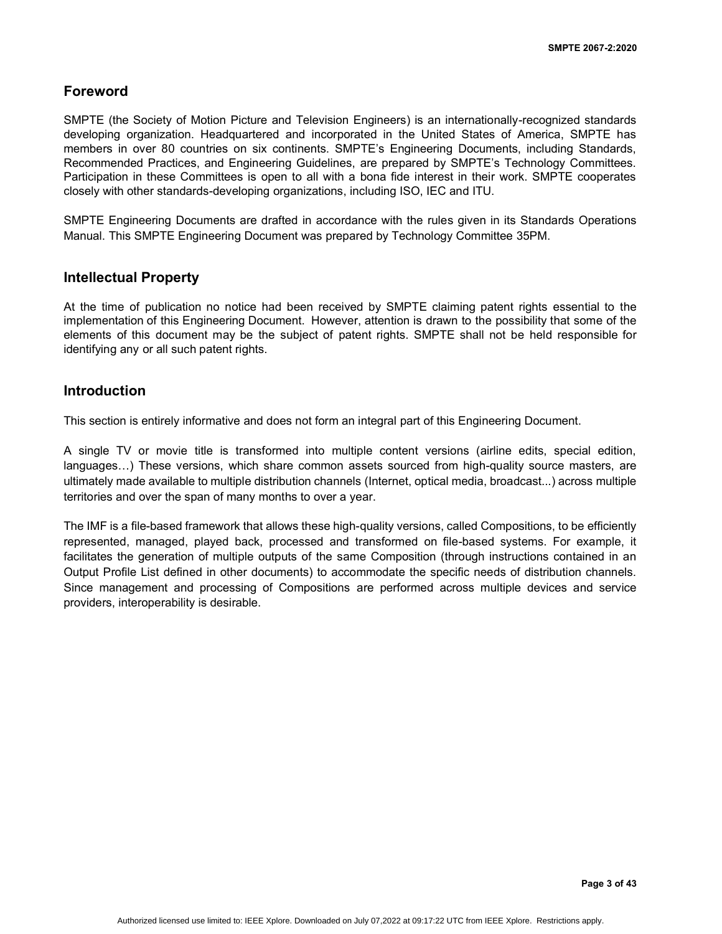# **Foreword**

SMPTE (the Society of Motion Picture and Television Engineers) is an internationally-recognized standards developing organization. Headquartered and incorporated in the United States of America, SMPTE has members in over 80 countries on six continents. SMPTE's Engineering Documents, including Standards, Recommended Practices, and Engineering Guidelines, are prepared by SMPTE's Technology Committees. Participation in these Committees is open to all with a bona fide interest in their work. SMPTE cooperates closely with other standards-developing organizations, including ISO, IEC and ITU.

SMPTE Engineering Documents are drafted in accordance with the rules given in its Standards Operations Manual. This SMPTE Engineering Document was prepared by Technology Committee 35PM.

# **Intellectual Property**

At the time of publication no notice had been received by SMPTE claiming patent rights essential to the implementation of this Engineering Document. However, attention is drawn to the possibility that some of the elements of this document may be the subject of patent rights. SMPTE shall not be held responsible for identifying any or all such patent rights.

# **Introduction**

This section is entirely informative and does not form an integral part of this Engineering Document.

A single TV or movie title is transformed into multiple content versions (airline edits, special edition, languages…) These versions, which share common assets sourced from high-quality source masters, are ultimately made available to multiple distribution channels (Internet, optical media, broadcast...) across multiple territories and over the span of many months to over a year.

The IMF is a file-based framework that allows these high-quality versions, called Compositions, to be efficiently represented, managed, played back, processed and transformed on file-based systems. For example, it facilitates the generation of multiple outputs of the same Composition (through instructions contained in an Output Profile List defined in other documents) to accommodate the specific needs of distribution channels. Since management and processing of Compositions are performed across multiple devices and service providers, interoperability is desirable.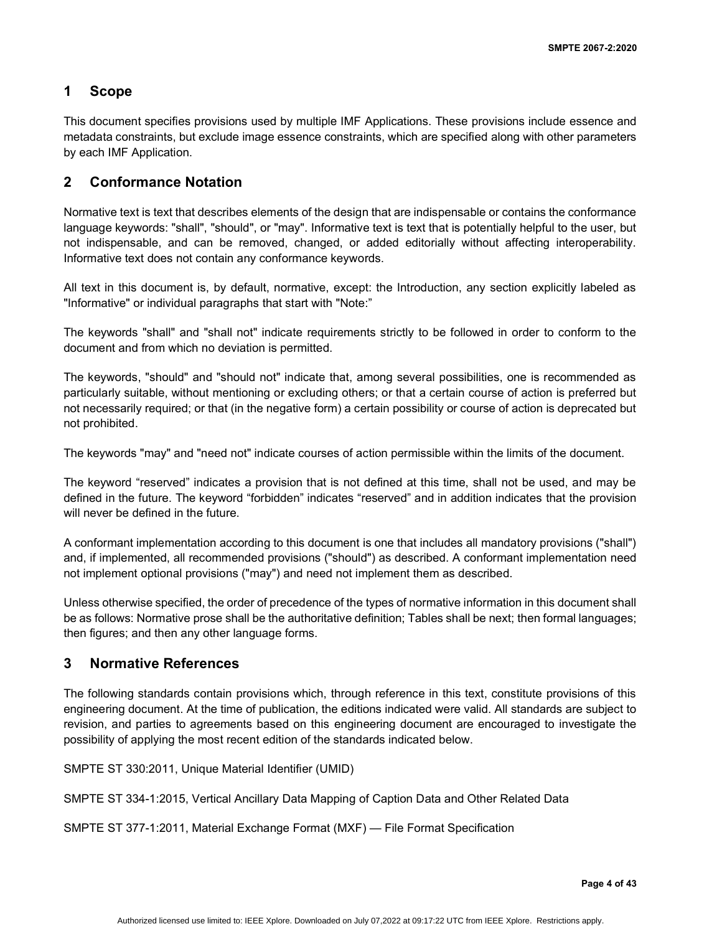# **1 Scope**

This document specifies provisions used by multiple IMF Applications. These provisions include essence and metadata constraints, but exclude image essence constraints, which are specified along with other parameters by each IMF Application.

# **2 Conformance Notation**

Normative text is text that describes elements of the design that are indispensable or contains the conformance language keywords: "shall", "should", or "may". Informative text is text that is potentially helpful to the user, but not indispensable, and can be removed, changed, or added editorially without affecting interoperability. Informative text does not contain any conformance keywords.

All text in this document is, by default, normative, except: the Introduction, any section explicitly labeled as "Informative" or individual paragraphs that start with "Note:"

The keywords "shall" and "shall not" indicate requirements strictly to be followed in order to conform to the document and from which no deviation is permitted.

The keywords, "should" and "should not" indicate that, among several possibilities, one is recommended as particularly suitable, without mentioning or excluding others; or that a certain course of action is preferred but not necessarily required; or that (in the negative form) a certain possibility or course of action is deprecated but not prohibited.

The keywords "may" and "need not" indicate courses of action permissible within the limits of the document.

The keyword "reserved" indicates a provision that is not defined at this time, shall not be used, and may be defined in the future. The keyword "forbidden" indicates "reserved" and in addition indicates that the provision will never be defined in the future.

A conformant implementation according to this document is one that includes all mandatory provisions ("shall") and, if implemented, all recommended provisions ("should") as described. A conformant implementation need not implement optional provisions ("may") and need not implement them as described.

Unless otherwise specified, the order of precedence of the types of normative information in this document shall be as follows: Normative prose shall be the authoritative definition; Tables shall be next; then formal languages; then figures; and then any other language forms.

# **3 Normative References**

The following standards contain provisions which, through reference in this text, constitute provisions of this engineering document. At the time of publication, the editions indicated were valid. All standards are subject to revision, and parties to agreements based on this engineering document are encouraged to investigate the possibility of applying the most recent edition of the standards indicated below.

SMPTE ST 330:2011, Unique Material Identifier (UMID)

SMPTE ST 334-1:2015, Vertical Ancillary Data Mapping of Caption Data and Other Related Data

SMPTE ST 377-1:2011, Material Exchange Format (MXF) — File Format Specification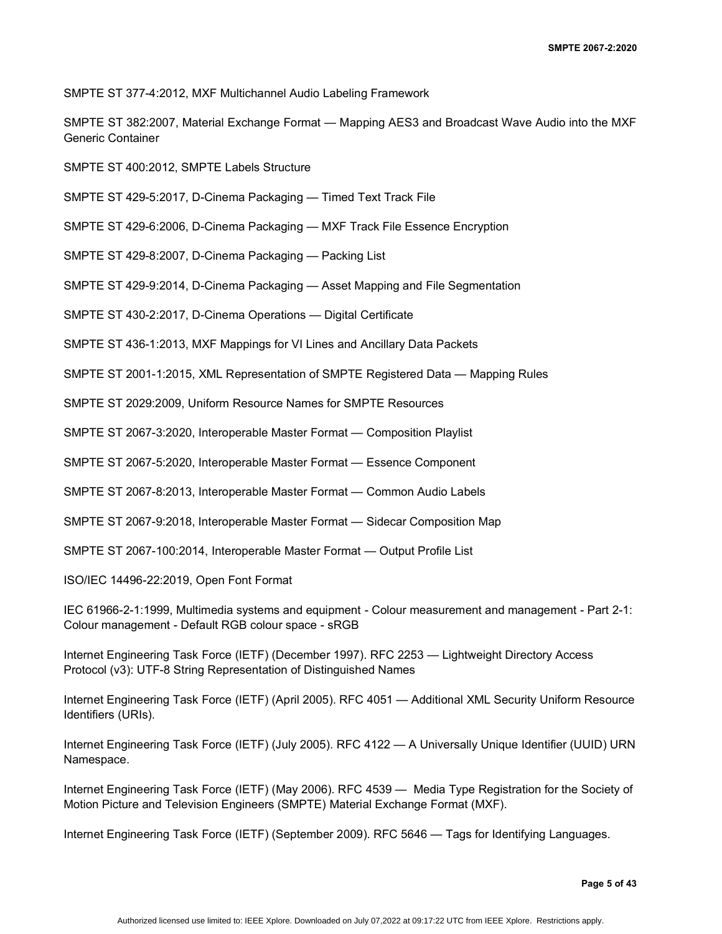SMPTE ST 377-4:2012, MXF Multichannel Audio Labeling Framework

SMPTE ST 382:2007, Material Exchange Format — Mapping AES3 and Broadcast Wave Audio into the MXF Generic Container

SMPTE ST 400:2012, SMPTE Labels Structure

SMPTE ST 429-5:2017, D-Cinema Packaging — Timed Text Track File

SMPTE ST 429-6:2006, D-Cinema Packaging — MXF Track File Essence Encryption

SMPTE ST 429-8:2007, D-Cinema Packaging — Packing List

SMPTE ST 429-9:2014, D-Cinema Packaging — Asset Mapping and File Segmentation

SMPTE ST 430-2:2017, D-Cinema Operations — Digital Certificate

SMPTE ST 436-1:2013, MXF Mappings for VI Lines and Ancillary Data Packets

SMPTE ST 2001-1:2015, XML Representation of SMPTE Registered Data — Mapping Rules

SMPTE ST 2029:2009, Uniform Resource Names for SMPTE Resources

SMPTE ST 2067-3:2020, Interoperable Master Format — Composition Playlist

SMPTE ST 2067-5:2020, Interoperable Master Format — Essence Component

SMPTE ST 2067-8:2013, Interoperable Master Format — Common Audio Labels

SMPTE ST 2067-9:2018, Interoperable Master Format — Sidecar Composition Map

SMPTE ST 2067-100:2014, Interoperable Master Format — Output Profile List

ISO/IEC 14496-22:2019, Open Font Format

IEC 61966-2-1:1999, Multimedia systems and equipment - Colour measurement and management - Part 2-1: Colour management - Default RGB colour space - sRGB

Internet Engineering Task Force (IETF) (December 1997). RFC 2253 — Lightweight Directory Access Protocol (v3): UTF-8 String Representation of Distinguished Names

Internet Engineering Task Force (IETF) (April 2005). RFC 4051 — Additional XML Security Uniform Resource Identifiers (URIs).

Internet Engineering Task Force (IETF) (July 2005). RFC 4122 — A Universally Unique Identifier (UUID) URN Namespace.

Internet Engineering Task Force (IETF) (May 2006). RFC 4539 — Media Type Registration for the Society of Motion Picture and Television Engineers (SMPTE) Material Exchange Format (MXF).

Internet Engineering Task Force (IETF) (September 2009). RFC 5646 — Tags for Identifying Languages.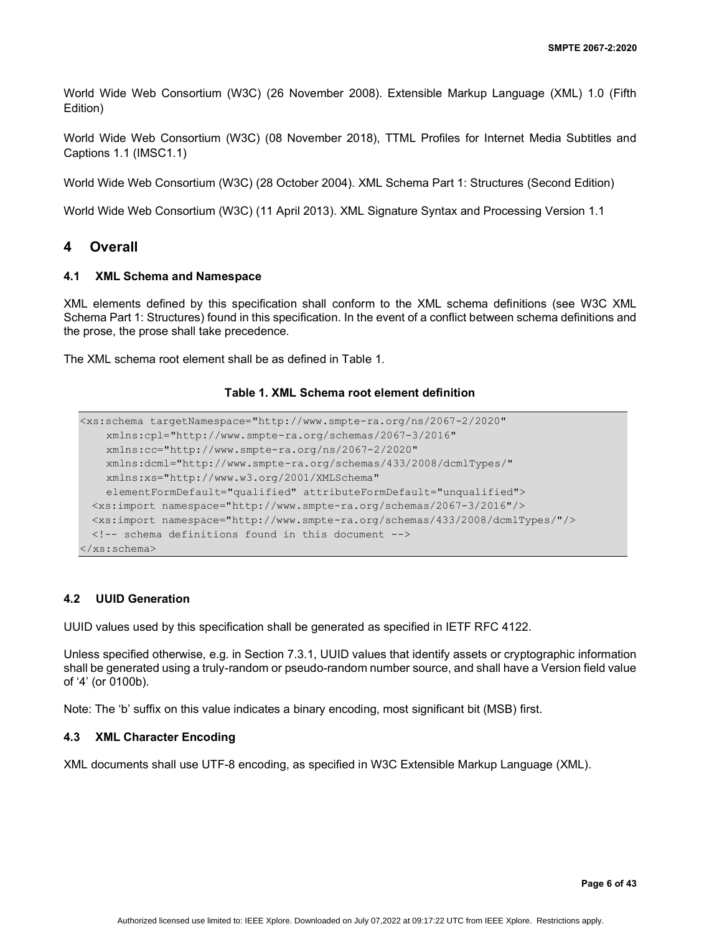World Wide Web Consortium (W3C) (26 November 2008). Extensible Markup Language (XML) 1.0 (Fifth Edition)

World Wide Web Consortium (W3C) (08 November 2018), TTML Profiles for Internet Media Subtitles and Captions 1.1 (IMSC1.1)

World Wide Web Consortium (W3C) (28 October 2004). XML Schema Part 1: Structures (Second Edition)

World Wide Web Consortium (W3C) (11 April 2013). XML Signature Syntax and Processing Version 1.1

#### **4 Overall**

#### **4.1 XML Schema and Namespace**

XML elements defined by this specification shall conform to the XML schema definitions (see W3C XML Schema Part 1: Structures) found in this specification. In the event of a conflict between schema definitions and the prose, the prose shall take precedence.

The XML schema root element shall be as defined in Table 1.

#### **Table 1. XML Schema root element definition**

```
<xs:schema targetNamespace="http://www.smpte-ra.org/ns/2067-2/2020"
   xmlns:cpl="http://www.smpte-ra.org/schemas/2067-3/2016"
   xmlns:cc="http://www.smpte-ra.org/ns/2067-2/2020"
   xmlns:dcml="http://www.smpte-ra.org/schemas/433/2008/dcmlTypes/"
   xmlns:xs="http://www.w3.org/2001/XMLSchema"
    elementFormDefault="qualified" attributeFormDefault="unqualified">
 <xs:import namespace="http://www.smpte-ra.org/schemas/2067-3/2016"/>
 <xs:import namespace="http://www.smpte-ra.org/schemas/433/2008/dcmlTypes/"/>
 <!-- schema definitions found in this document -->
</xs:schema>
```
## **4.2 UUID Generation**

UUID values used by this specification shall be generated as specified in IETF RFC 4122.

Unless specified otherwise, e.g. in Section 7.3.1, UUID values that identify assets or cryptographic information shall be generated using a truly-random or pseudo-random number source, and shall have a Version field value of '4' (or 0100b).

Note: The 'b' suffix on this value indicates a binary encoding, most significant bit (MSB) first.

#### **4.3 XML Character Encoding**

XML documents shall use UTF-8 encoding, as specified in W3C Extensible Markup Language (XML).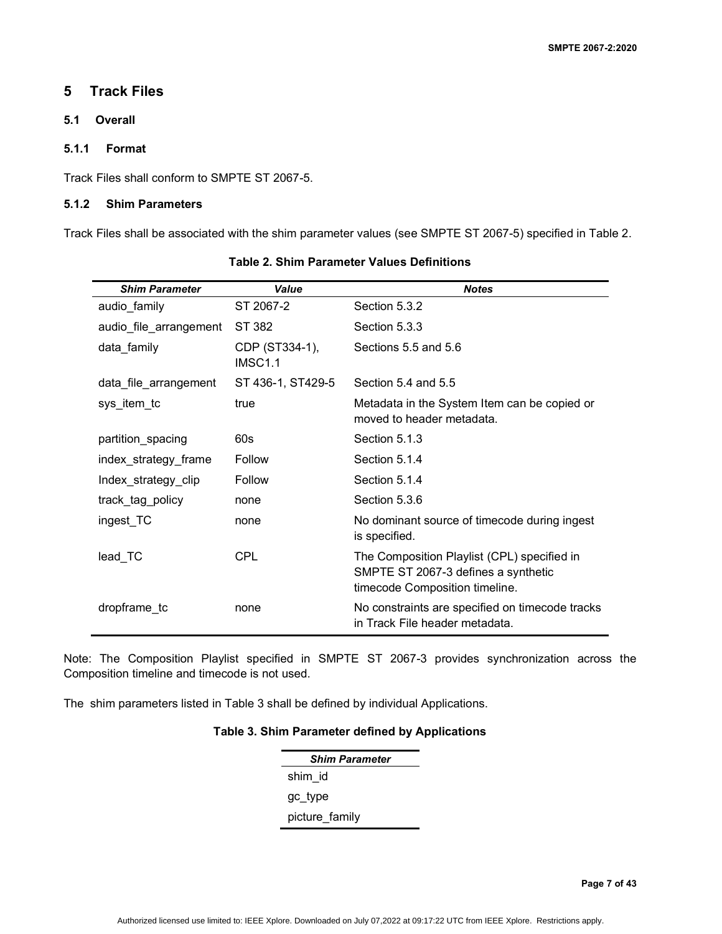# **5 Track Files**

**5.1 Overall**

# **5.1.1 Format**

Track Files shall conform to SMPTE ST 2067-5.

# **5.1.2 Shim Parameters**

Track Files shall be associated with the shim parameter values (see SMPTE ST 2067-5) specified in Table 2.

| <b>Shim Parameter</b>  | Value                                 | <b>Notes</b>                                                                                                         |
|------------------------|---------------------------------------|----------------------------------------------------------------------------------------------------------------------|
| audio_family           | ST 2067-2                             | Section 5.3.2                                                                                                        |
| audio_file_arrangement | ST 382                                | Section 5.3.3                                                                                                        |
| data_family            | CDP (ST334-1),<br>IMSC <sub>1.1</sub> | Sections 5.5 and 5.6                                                                                                 |
| data_file_arrangement  | ST 436-1, ST429-5                     | Section 5.4 and 5.5                                                                                                  |
| sys_item_tc            | true                                  | Metadata in the System Item can be copied or<br>moved to header metadata.                                            |
| partition_spacing      | 60s                                   | Section 5.1.3                                                                                                        |
| index_strategy_frame   | Follow                                | Section 5.1.4                                                                                                        |
| Index_strategy_clip    | Follow                                | Section 5.1.4                                                                                                        |
| track_tag_policy       | none                                  | Section 5.3.6                                                                                                        |
| ingest TC              | none                                  | No dominant source of timecode during ingest<br>is specified.                                                        |
| lead_TC                | <b>CPL</b>                            | The Composition Playlist (CPL) specified in<br>SMPTE ST 2067-3 defines a synthetic<br>timecode Composition timeline. |
| dropframe_tc           | none                                  | No constraints are specified on timecode tracks<br>in Track File header metadata.                                    |

**Table 2. Shim Parameter Values Definitions**

Note: The Composition Playlist specified in SMPTE ST 2067-3 provides synchronization across the Composition timeline and timecode is not used.

The shim parameters listed in Table 3 shall be defined by individual Applications.

|  |  |  | Table 3. Shim Parameter defined by Applications |
|--|--|--|-------------------------------------------------|
|--|--|--|-------------------------------------------------|

| <b>Shim Parameter</b> |  |
|-----------------------|--|
| shim_id               |  |
| gc_type               |  |
| picture_family        |  |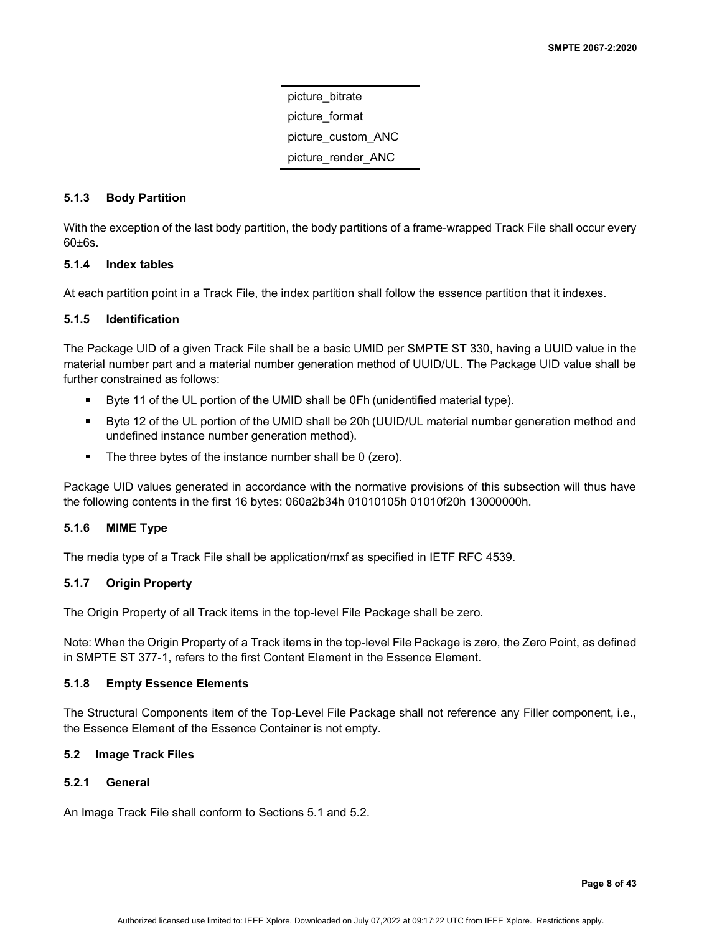picture\_bitrate picture\_format picture\_custom\_ANC picture\_render\_ANC

#### **5.1.3 Body Partition**

With the exception of the last body partition, the body partitions of a frame-wrapped Track File shall occur every  $60+6s$ 

## **5.1.4 Index tables**

At each partition point in a Track File, the index partition shall follow the essence partition that it indexes.

## **5.1.5 Identification**

The Package UID of a given Track File shall be a basic UMID per SMPTE ST 330, having a UUID value in the material number part and a material number generation method of UUID/UL. The Package UID value shall be further constrained as follows:

- Byte 11 of the UL portion of the UMID shall be 0Fh(unidentified material type).
- Byte 12 of the UL portion of the UMID shall be 20h(UUID/UL material number generation method and  $\blacksquare$ undefined instance number generation method).
- The three bytes of the instance number shall be 0 (zero). ٠

Package UID values generated in accordance with the normative provisions of this subsection will thus have the following contents in the first 16 bytes: 060a2b34h 01010105h 01010f20h 13000000h.

#### **5.1.6 MIME Type**

The media type of a Track File shall be application/mxf as specified in IETF RFC 4539.

# **5.1.7 Origin Property**

The Origin Property of all Track items in the top-level File Package shall be zero.

Note: When the Origin Property of a Track items in the top-level File Package is zero, the Zero Point, as defined in SMPTE ST 377-1, refers to the first Content Element in the Essence Element.

# **5.1.8 Empty Essence Elements**

The Structural Components item of the Top-Level File Package shall not reference any Filler component, i.e., the Essence Element of the Essence Container is not empty.

#### **5.2 Image Track Files**

#### **5.2.1 General**

An Image Track File shall conform to Sections 5.1 and 5.2.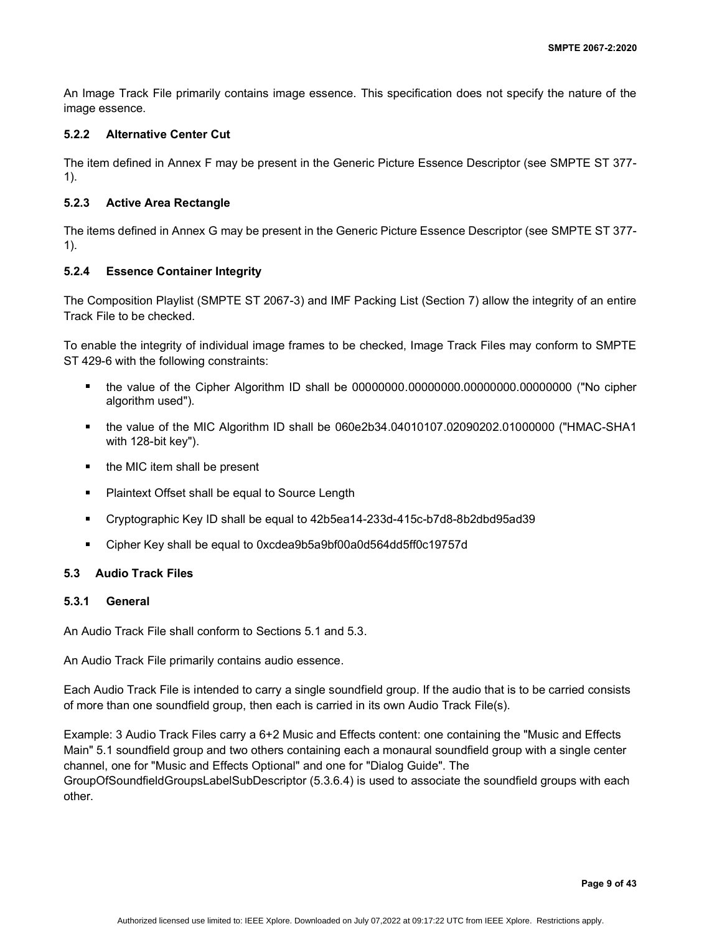An Image Track File primarily contains image essence. This specification does not specify the nature of the image essence.

#### **5.2.2 Alternative Center Cut**

The item defined in Annex F may be present in the Generic Picture Essence Descriptor (see SMPTE ST 377- 1).

#### **5.2.3 Active Area Rectangle**

The items defined in Annex G may be present in the Generic Picture Essence Descriptor (see SMPTE ST 377- 1).

#### **5.2.4 Essence Container Integrity**

The Composition Playlist (SMPTE ST 2067-3) and IMF Packing List (Section 7) allow the integrity of an entire Track File to be checked.

To enable the integrity of individual image frames to be checked, Image Track Files may conform to SMPTE ST 429-6 with the following constraints:

- the value of the Cipher Algorithm ID shall be 00000000.00000000.00000000.00000000 ("No cipher algorithm used").
- the value of the MIC Algorithm ID shall be 060e2b34.04010107.02090202.01000000 ("HMAC-SHA1 with 128-bit key").
- the MIC item shall be present
- Plaintext Offset shall be equal to Source Length
- Cryptographic Key ID shall be equal to 42b5ea14-233d-415c-b7d8-8b2dbd95ad39
- Cipher Key shall be equal to 0xcdea9b5a9bf00a0d564dd5ff0c19757d

#### **5.3 Audio Track Files**

#### **5.3.1 General**

An Audio Track File shall conform to Sections 5.1 and 5.3.

An Audio Track File primarily contains audio essence.

Each Audio Track File is intended to carry a single soundfield group. If the audio that is to be carried consists of more than one soundfield group, then each is carried in its own Audio Track File(s).

Example: 3 Audio Track Files carry a 6+2 Music and Effects content: one containing the "Music and Effects Main" 5.1 soundfield group and two others containing each a monaural soundfield group with a single center channel, one for "Music and Effects Optional" and one for "Dialog Guide". The GroupOfSoundfieldGroupsLabelSubDescriptor (5.3.6.4) is used to associate the soundfield groups with each other.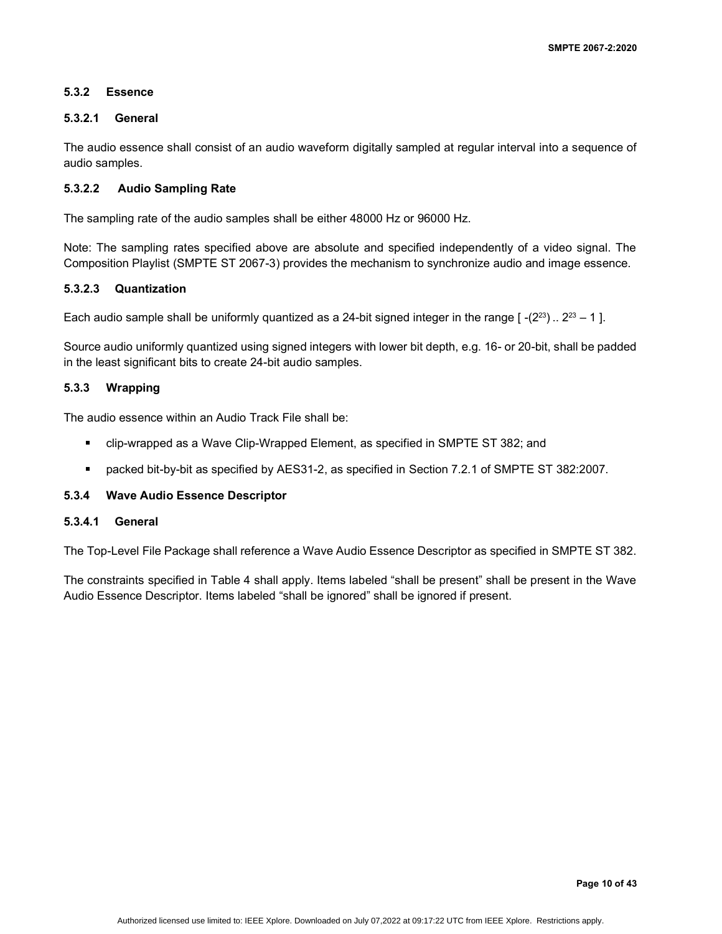#### **5.3.2 Essence**

# **5.3.2.1 General**

The audio essence shall consist of an audio waveform digitally sampled at regular interval into a sequence of audio samples.

# **5.3.2.2 Audio Sampling Rate**

The sampling rate of the audio samples shall be either 48000 Hz or 96000 Hz.

Note: The sampling rates specified above are absolute and specified independently of a video signal. The Composition Playlist (SMPTE ST 2067-3) provides the mechanism to synchronize audio and image essence.

#### **5.3.2.3 Quantization**

Each audio sample shall be uniformly quantized as a 24-bit signed integer in the range [ $-(2^{23})$ ..  $2^{23}$  – 1].

Source audio uniformly quantized using signed integers with lower bit depth, e.g. 16- or 20-bit, shall be padded in the least significant bits to create 24-bit audio samples.

#### **5.3.3 Wrapping**

The audio essence within an Audio Track File shall be:

- clip-wrapped as a Wave Clip-Wrapped Element, as specified in SMPTE ST 382; and
- packed bit-by-bit as specified by AES31-2, as specified in Section 7.2.1 of SMPTE ST 382:2007.

#### **5.3.4 Wave Audio Essence Descriptor**

## **5.3.4.1 General**

The Top-Level File Package shall reference a Wave Audio Essence Descriptor as specified in SMPTE ST 382.

The constraints specified in Table 4 shall apply. Items labeled "shall be present" shall be present in the Wave Audio Essence Descriptor. Items labeled "shall be ignored" shall be ignored if present.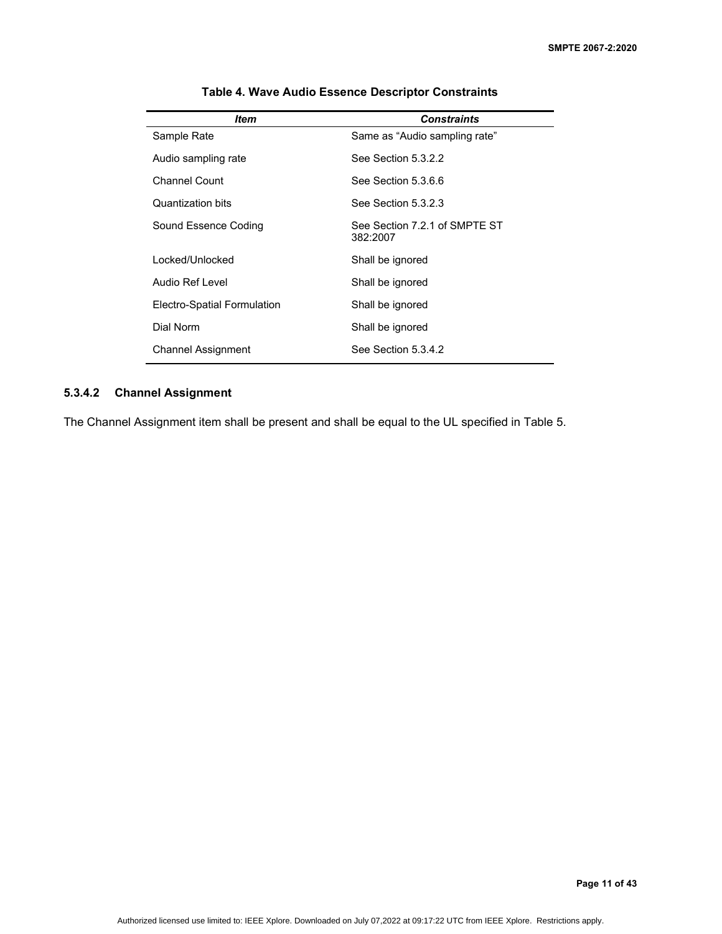| Item                        | <b>Constraints</b>                        |
|-----------------------------|-------------------------------------------|
| Sample Rate                 | Same as "Audio sampling rate"             |
| Audio sampling rate         | See Section 5.3.2.2                       |
| <b>Channel Count</b>        | See Section 5.3.6.6                       |
| Quantization bits           | See Section 5.3.2.3                       |
| Sound Essence Coding        | See Section 7.2.1 of SMPTE ST<br>382:2007 |
| Locked/Unlocked             | Shall be ignored                          |
| Audio Ref Level             | Shall be ignored                          |
| Electro-Spatial Formulation | Shall be ignored                          |
| Dial Norm                   | Shall be ignored                          |
| <b>Channel Assignment</b>   | See Section 5.3.4.2                       |

# **Table 4. Wave Audio Essence Descriptor Constraints**

# **5.3.4.2 Channel Assignment**

The Channel Assignment item shall be present and shall be equal to the UL specified in Table 5.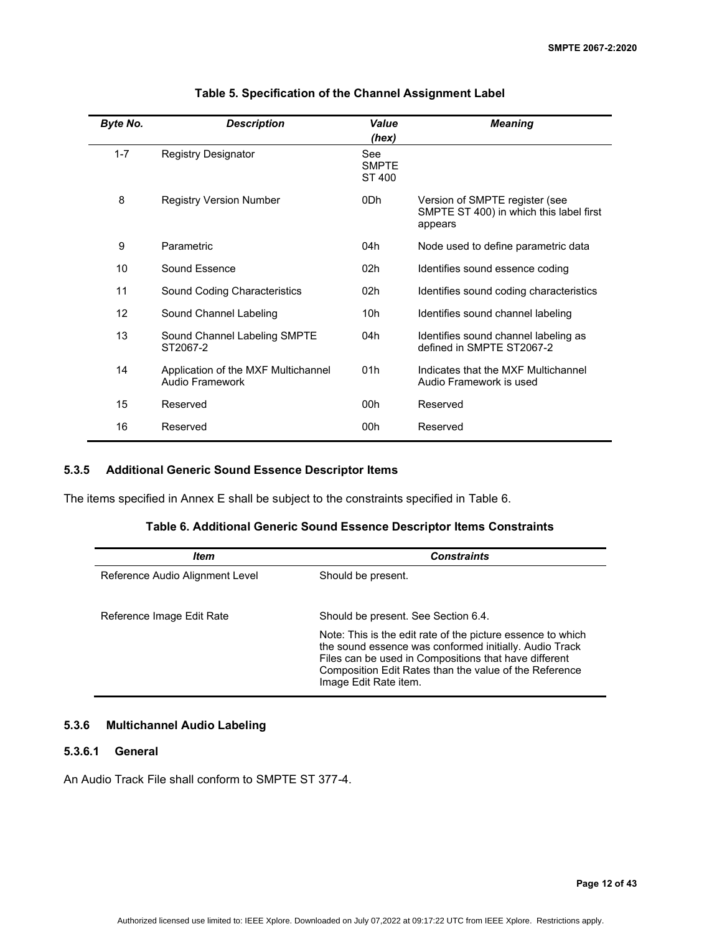| Byte No. | <b>Description</b>                                     | Value<br>(hex)                | <b>Meaning</b>                                                                       |
|----------|--------------------------------------------------------|-------------------------------|--------------------------------------------------------------------------------------|
| $1 - 7$  | <b>Registry Designator</b>                             | See<br><b>SMPTF</b><br>ST 400 |                                                                                      |
| 8        | <b>Registry Version Number</b>                         | 0Dh                           | Version of SMPTE register (see<br>SMPTE ST 400) in which this label first<br>appears |
| 9        | Parametric                                             | 04h                           | Node used to define parametric data                                                  |
| 10       | Sound Essence                                          | 02 <sub>h</sub>               | Identifies sound essence coding                                                      |
| 11       | Sound Coding Characteristics                           | 02 <sub>h</sub>               | Identifies sound coding characteristics                                              |
| 12       | Sound Channel Labeling                                 | 10h                           | Identifies sound channel labeling                                                    |
| 13       | Sound Channel Labeling SMPTE<br>ST2067-2               | 04h                           | Identifies sound channel labeling as<br>defined in SMPTE ST2067-2                    |
| 14       | Application of the MXF Multichannel<br>Audio Framework | 01h                           | Indicates that the MXF Multichannel<br>Audio Framework is used                       |
| 15       | Reserved                                               | 00h                           | Reserved                                                                             |
| 16       | Reserved                                               | 00h                           | Reserved                                                                             |

# **Table 5. Specification of the Channel Assignment Label**

# **5.3.5 Additional Generic Sound Essence Descriptor Items**

The items specified in Annex E shall be subject to the constraints specified in Table 6.

#### **Table 6. Additional Generic Sound Essence Descriptor Items Constraints**

| Item                            | <b>Constraints</b>                                                                                                                                                                                                                                                |
|---------------------------------|-------------------------------------------------------------------------------------------------------------------------------------------------------------------------------------------------------------------------------------------------------------------|
| Reference Audio Alignment Level | Should be present.                                                                                                                                                                                                                                                |
| Reference Image Edit Rate       | Should be present. See Section 6.4.                                                                                                                                                                                                                               |
|                                 | Note: This is the edit rate of the picture essence to which<br>the sound essence was conformed initially. Audio Track<br>Files can be used in Compositions that have different<br>Composition Edit Rates than the value of the Reference<br>Image Edit Rate item. |

## **5.3.6 Multichannel Audio Labeling**

# **5.3.6.1 General**

An Audio Track File shall conform to SMPTE ST 377-4.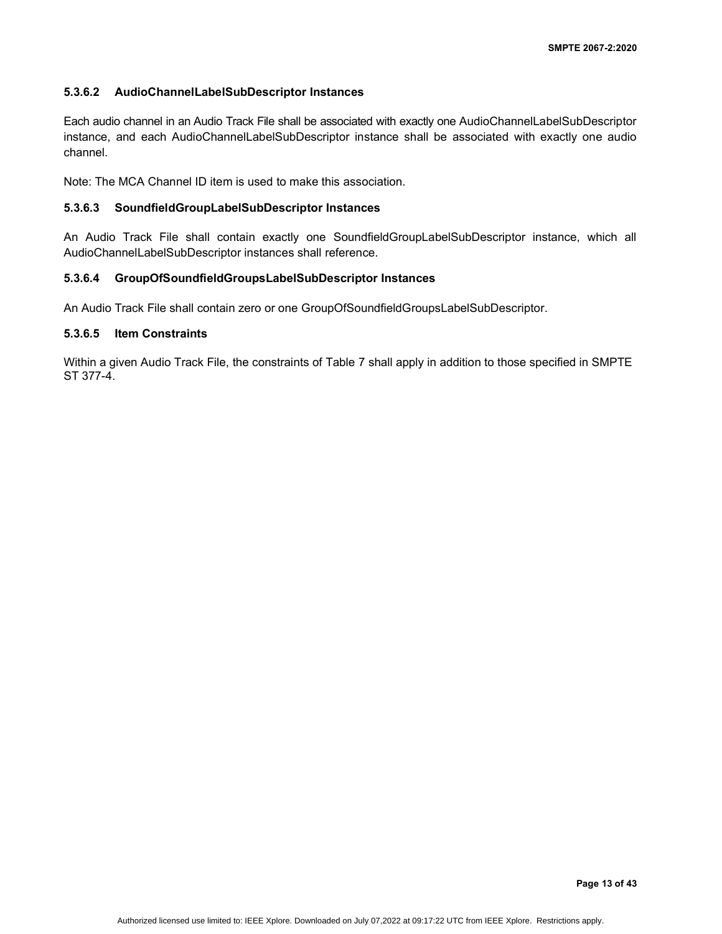#### **5.3.6.2 AudioChannelLabelSubDescriptor Instances**

Each audio channel in an Audio Track File shall be associated with exactly one AudioChannelLabelSubDescriptor instance, and each AudioChannelLabelSubDescriptor instance shall be associated with exactly one audio channel.

Note: The MCA Channel ID item is used to make this association.

### **5.3.6.3 SoundfieldGroupLabelSubDescriptor Instances**

An Audio Track File shall contain exactly one SoundfieldGroupLabelSubDescriptor instance, which all AudioChannelLabelSubDescriptor instances shall reference.

# **5.3.6.4 GroupOfSoundfieldGroupsLabelSubDescriptor Instances**

An Audio Track File shall contain zero or one GroupOfSoundfieldGroupsLabelSubDescriptor.

#### **5.3.6.5 Item Constraints**

Within a given Audio Track File, the constraints of Table 7 shall apply in addition to those specified in SMPTE ST 377-4.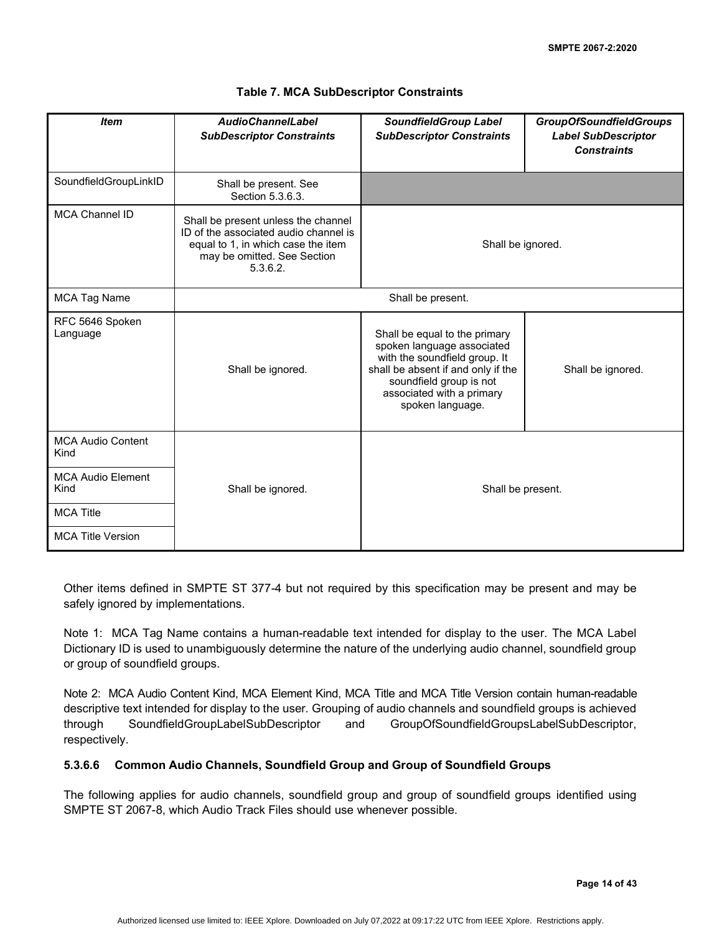| <b>Item</b>                      | <b>AudioChannelLabel</b><br><b>SubDescriptor Constraints</b>                                                                                                  | <b>SoundfieldGroup Label</b><br><b>SubDescriptor Constraints</b>                                                                                                                                               | <b>GroupOfSoundfieldGroups</b><br><b>Label SubDescriptor</b><br><b>Constraints</b> |
|----------------------------------|---------------------------------------------------------------------------------------------------------------------------------------------------------------|----------------------------------------------------------------------------------------------------------------------------------------------------------------------------------------------------------------|------------------------------------------------------------------------------------|
| SoundfieldGroupLinkID            | Shall be present. See<br>Section 5.3.6.3.                                                                                                                     |                                                                                                                                                                                                                |                                                                                    |
| <b>MCA Channel ID</b>            | Shall be present unless the channel<br>ID of the associated audio channel is<br>equal to 1, in which case the item<br>may be omitted. See Section<br>5.3.6.2. | Shall be ignored.                                                                                                                                                                                              |                                                                                    |
| <b>MCA Tag Name</b>              |                                                                                                                                                               | Shall be present.                                                                                                                                                                                              |                                                                                    |
| RFC 5646 Spoken<br>Language      | Shall be ignored.                                                                                                                                             | Shall be equal to the primary<br>spoken language associated<br>with the soundfield group. It<br>shall be absent if and only if the<br>soundfield group is not<br>associated with a primary<br>spoken language. | Shall be ignored.                                                                  |
| <b>MCA Audio Content</b><br>Kind |                                                                                                                                                               |                                                                                                                                                                                                                |                                                                                    |
| <b>MCA Audio Element</b><br>Kind | Shall be ignored.                                                                                                                                             | Shall be present.                                                                                                                                                                                              |                                                                                    |
| <b>MCA Title</b>                 |                                                                                                                                                               |                                                                                                                                                                                                                |                                                                                    |
| <b>MCA Title Version</b>         |                                                                                                                                                               |                                                                                                                                                                                                                |                                                                                    |

# **Table 7. MCA SubDescriptor Constraints**

Other items defined in SMPTE ST 377-4 but not required by this specification may be present and may be safely ignored by implementations.

Note 1: MCA Tag Name contains a human-readable text intended for display to the user. The MCA Label Dictionary ID is used to unambiguously determine the nature of the underlying audio channel, soundfield group or group of soundfield groups.

Note 2: MCA Audio Content Kind, MCA Element Kind, MCA Title and MCA Title Version contain human-readable descriptive text intended for display to the user. Grouping of audio channels and soundfield groups is achieved through SoundfieldGroupLabelSubDescriptor and GroupOfSoundfieldGroupsLabelSubDescriptor, respectively.

#### **5.3.6.6 Common Audio Channels, Soundfield Group and Group of Soundfield Groups**

The following applies for audio channels, soundfield group and group of soundfield groups identified using SMPTE ST 2067-8, which Audio Track Files should use whenever possible.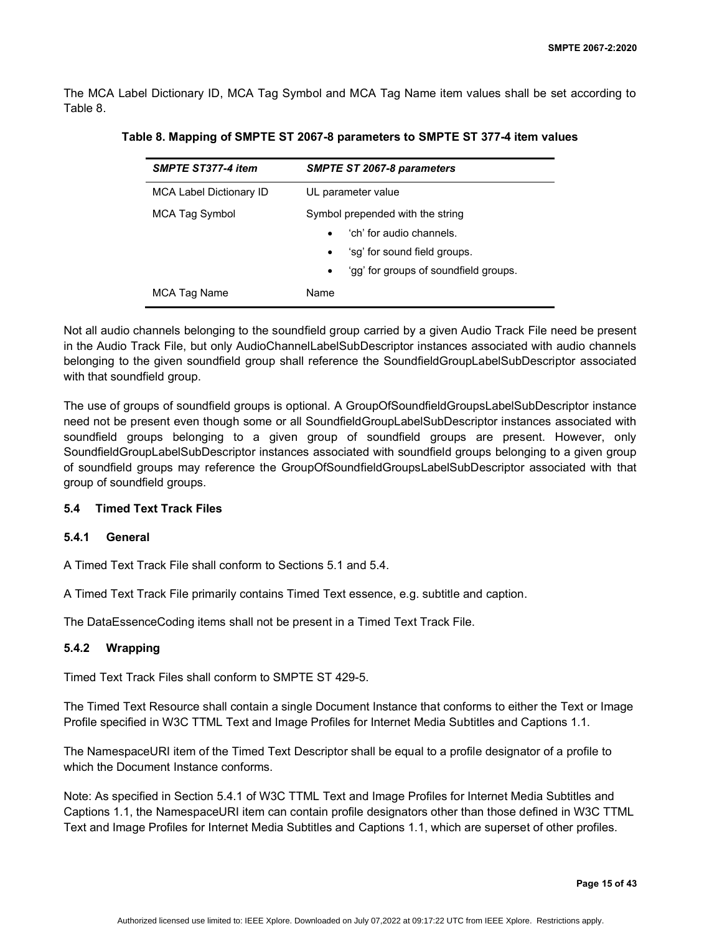The MCA Label Dictionary ID, MCA Tag Symbol and MCA Tag Name item values shall be set according to Table 8.

| <b>SMPTE ST377-4 item</b>      | <b>SMPTE ST 2067-8 parameters</b>                                                                                                                                            |
|--------------------------------|------------------------------------------------------------------------------------------------------------------------------------------------------------------------------|
| <b>MCA Label Dictionary ID</b> | UL parameter value                                                                                                                                                           |
| MCA Tag Symbol                 | Symbol prepended with the string<br>'ch' for audio channels.<br>$\bullet$<br>'sg' for sound field groups.<br>$\bullet$<br>'gg' for groups of soundfield groups.<br>$\bullet$ |
| MCA Tag Name                   | Name                                                                                                                                                                         |

**Table 8. Mapping of SMPTE ST 2067-8 parameters to SMPTE ST 377-4 item values**

Not all audio channels belonging to the soundfield group carried by a given Audio Track File need be present in the Audio Track File, but only AudioChannelLabelSubDescriptor instances associated with audio channels belonging to the given soundfield group shall reference the SoundfieldGroupLabelSubDescriptor associated with that soundfield group.

The use of groups of soundfield groups is optional. A GroupOfSoundfieldGroupsLabelSubDescriptor instance need not be present even though some or all SoundfieldGroupLabelSubDescriptor instances associated with soundfield groups belonging to a given group of soundfield groups are present. However, only SoundfieldGroupLabelSubDescriptor instances associated with soundfield groups belonging to a given group of soundfield groups may reference the GroupOfSoundfieldGroupsLabelSubDescriptor associated with that group of soundfield groups.

# **5.4 Timed Text Track Files**

#### **5.4.1 General**

A Timed Text Track File shall conform to Sections 5.1 and 5.4.

A Timed Text Track File primarily contains Timed Text essence, e.g. subtitle and caption.

The DataEssenceCoding items shall not be present in a Timed Text Track File.

# **5.4.2 Wrapping**

Timed Text Track Files shall conform to SMPTE ST 429-5.

The Timed Text Resource shall contain a single Document Instance that conforms to either the Text or Image Profile specified in W3C TTML Text and Image Profiles for Internet Media Subtitles and Captions 1.1.

The NamespaceURI item of the Timed Text Descriptor shall be equal to a profile designator of a profile to which the Document Instance conforms.

Note: As specified in Section 5.4.1 of W3C TTML Text and Image Profiles for Internet Media Subtitles and Captions 1.1, the NamespaceURI item can contain profile designators other than those defined in W3C TTML Text and Image Profiles for Internet Media Subtitles and Captions 1.1, which are superset of other profiles.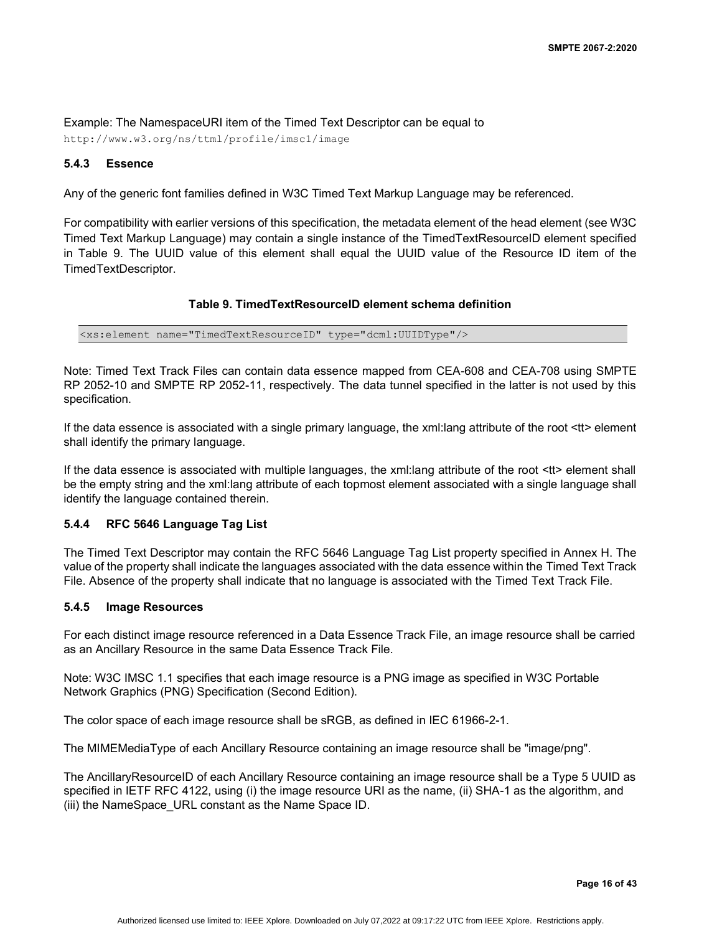Example: The NamespaceURI item of the Timed Text Descriptor can be equal to http://www.w3.org/ns/ttml/profile/imsc1/image

#### **5.4.3 Essence**

Any of the generic font families defined in W3C Timed Text Markup Language may be referenced.

For compatibility with earlier versions of this specification, the metadata element of the head element (see W3C Timed Text Markup Language) may contain a single instance of the TimedTextResourceID element specified in Table 9. The UUID value of this element shall equal the UUID value of the Resource ID item of the TimedTextDescriptor.

# **Table 9. TimedTextResourceID element schema definition**

<xs:element name="TimedTextResourceID" type="dcml:UUIDType"/>

Note: Timed Text Track Files can contain data essence mapped from CEA-608 and CEA-708 using SMPTE RP 2052-10 and SMPTE RP 2052-11, respectively. The data tunnel specified in the latter is not used by this specification.

If the data essence is associated with a single primary language, the xml:lang attribute of the root <tt> element shall identify the primary language.

If the data essence is associated with multiple languages, the xml:lang attribute of the root <tt> element shall be the empty string and the xml:lang attribute of each topmost element associated with a single language shall identify the language contained therein.

#### **5.4.4 RFC 5646 Language Tag List**

The Timed Text Descriptor may contain the RFC 5646 Language Tag List property specified in Annex H. The value of the property shall indicate the languages associated with the data essence within the Timed Text Track File. Absence of the property shall indicate that no language is associated with the Timed Text Track File.

#### **5.4.5 Image Resources**

For each distinct image resource referenced in a Data Essence Track File, an image resource shall be carried as an Ancillary Resource in the same Data Essence Track File.

Note: W3C IMSC 1.1 specifies that each image resource is a PNG image as specified in W3C Portable Network Graphics (PNG) Specification (Second Edition).

The color space of each image resource shall be sRGB, as defined in IEC 61966-2-1.

The MIMEMediaType of each Ancillary Resource containing an image resource shall be "image/png".

The AncillaryResourceID of each Ancillary Resource containing an image resource shall be a Type 5 UUID as specified in IETF RFC 4122, using (i) the image resource URI as the name, (ii) SHA-1 as the algorithm, and (iii) the NameSpace\_URL constant as the Name Space ID.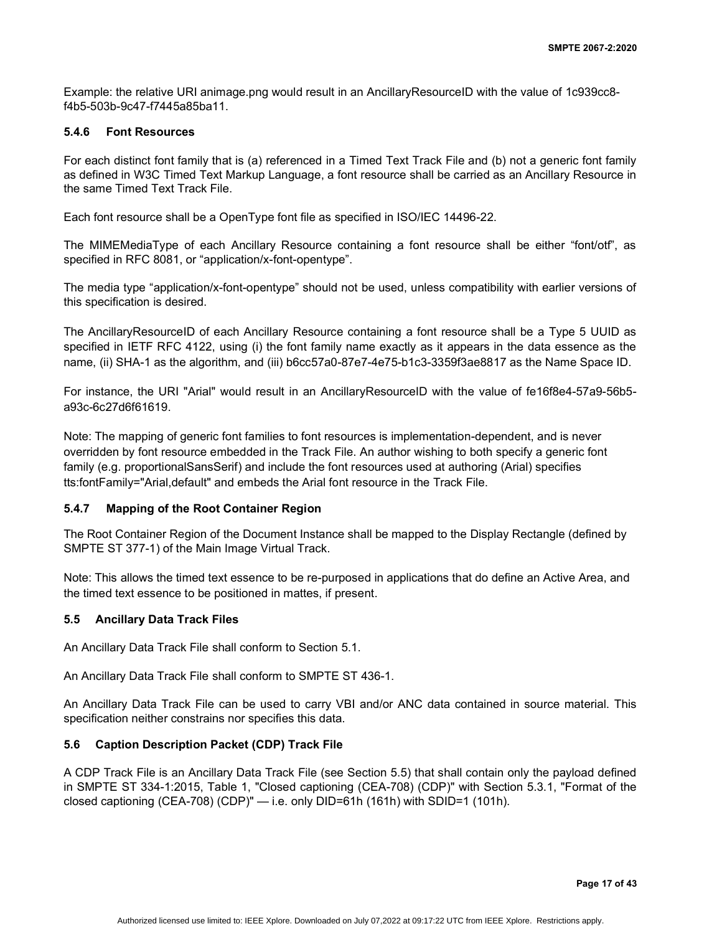Example: the relative URI animage.png would result in an AncillaryResourceID with the value of 1c939cc8 f4b5-503b-9c47-f7445a85ba11.

#### **5.4.6 Font Resources**

For each distinct font family that is (a) referenced in a Timed Text Track File and (b) not a generic font family as defined in W3C Timed Text Markup Language, a font resource shall be carried as an Ancillary Resource in the same Timed Text Track File.

Each font resource shall be a OpenType font file as specified in ISO/IEC 14496-22.

The MIMEMediaType of each Ancillary Resource containing a font resource shall be either "font/otf", as specified in RFC 8081, or "application/x-font-opentype".

The media type "application/x-font-opentype" should not be used, unless compatibility with earlier versions of this specification is desired.

The AncillaryResourceID of each Ancillary Resource containing a font resource shall be a Type 5 UUID as specified in IETF RFC 4122, using (i) the font family name exactly as it appears in the data essence as the name, (ii) SHA-1 as the algorithm, and (iii) b6cc57a0-87e7-4e75-b1c3-3359f3ae8817 as the Name Space ID.

For instance, the URI "Arial" would result in an AncillaryResourceID with the value of fe16f8e4-57a9-56b5 a93c-6c27d6f61619.

Note: The mapping of generic font families to font resources is implementation-dependent, and is never overridden by font resource embedded in the Track File. An author wishing to both specify a generic font family (e.g. proportionalSansSerif) and include the font resources used at authoring (Arial) specifies tts:fontFamily="Arial,default" and embeds the Arial font resource in the Track File.

#### **5.4.7 Mapping of the Root Container Region**

The Root Container Region of the Document Instance shall be mapped to the Display Rectangle (defined by SMPTE ST 377-1) of the Main Image Virtual Track.

Note: This allows the timed text essence to be re-purposed in applications that do define an Active Area, and the timed text essence to be positioned in mattes, if present.

#### **5.5 Ancillary Data Track Files**

An Ancillary Data Track File shall conform to Section 5.1.

An Ancillary Data Track File shall conform to SMPTE ST 436-1.

An Ancillary Data Track File can be used to carry VBI and/or ANC data contained in source material. This specification neither constrains nor specifies this data.

#### **5.6 Caption Description Packet (CDP) Track File**

A CDP Track File is an Ancillary Data Track File (see Section 5.5) that shall contain only the payload defined in SMPTE ST 334-1:2015, Table 1, "Closed captioning (CEA-708) (CDP)" with Section 5.3.1, "Format of the closed captioning (CEA-708) (CDP)" — i.e. only DID=61h (161h) with SDID=1 (101h).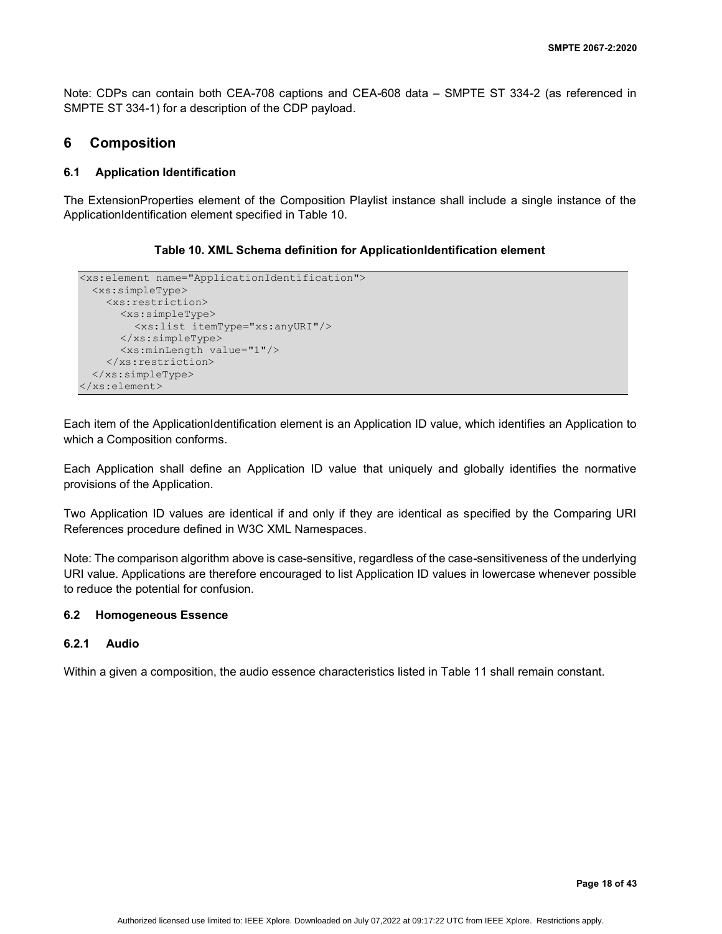Note: CDPs can contain both CEA-708 captions and CEA-608 data – SMPTE ST 334-2 (as referenced in SMPTE ST 334-1) for a description of the CDP payload.

# **6 Composition**

#### **6.1 Application Identification**

The ExtensionProperties element of the Composition Playlist instance shall include a single instance of the ApplicationIdentification element specified in Table 10.

#### **Table 10. XML Schema definition for ApplicationIdentification element**

```
<xs:element name="ApplicationIdentification">
 <xs:simpleType>
    <xs:restriction>
      <xs:simpleType>
        <xs:list itemType="xs:anyURI"/>
      </xs:simpleType>
      <xs:minLength value="1"/>
    </xs:restriction>
 </xs:simpleType>
</xs:element>
```
Each item of the ApplicationIdentification element is an Application ID value, which identifies an Application to which a Composition conforms.

Each Application shall define an Application ID value that uniquely and globally identifies the normative provisions of the Application.

Two Application ID values are identical if and only if they are identical as specified by the Comparing URI References procedure defined in W3C XML Namespaces.

Note: The comparison algorithm above is case-sensitive, regardless of the case-sensitiveness of the underlying URI value. Applications are therefore encouraged to list Application ID values in lowercase whenever possible to reduce the potential for confusion.

#### **6.2 Homogeneous Essence**

## **6.2.1 Audio**

Within a given a composition, the audio essence characteristics listed in Table 11 shall remain constant.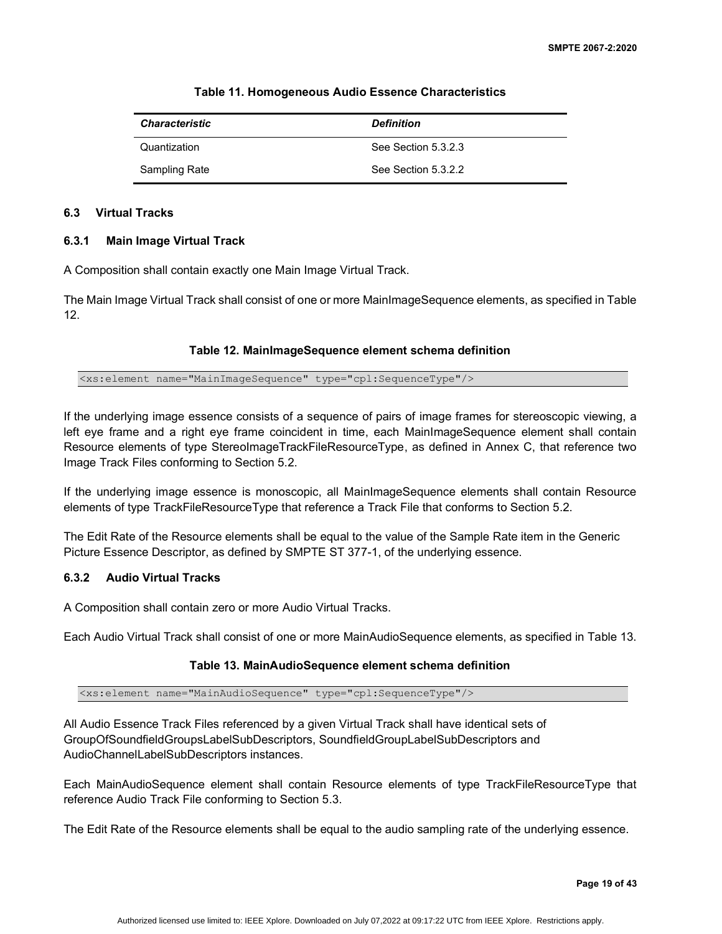| <b>Characteristic</b> | <b>Definition</b>   |
|-----------------------|---------------------|
| Quantization          | See Section 5.3.2.3 |
| Sampling Rate         | See Section 5.3.2.2 |

#### **Table 11. Homogeneous Audio Essence Characteristics**

#### **6.3 Virtual Tracks**

#### **6.3.1 Main Image Virtual Track**

A Composition shall contain exactly one Main Image Virtual Track.

The Main Image Virtual Track shall consist of one or more MainImageSequence elements, as specified in Table 12.

#### **Table 12. MainImageSequence element schema definition**

<xs:element name="MainImageSequence" type="cpl:SequenceType"/>

If the underlying image essence consists of a sequence of pairs of image frames for stereoscopic viewing, a left eye frame and a right eye frame coincident in time, each MainImageSequence element shall contain Resource elements of type StereoImageTrackFileResourceType, as defined in Annex C, that reference two Image Track Files conforming to Section 5.2.

If the underlying image essence is monoscopic, all MainImageSequence elements shall contain Resource elements of type TrackFileResourceType that reference a Track File that conforms to Section 5.2.

The Edit Rate of the Resource elements shall be equal to the value of the Sample Rate item in the Generic Picture Essence Descriptor, as defined by SMPTE ST 377-1, of the underlying essence.

### **6.3.2 Audio Virtual Tracks**

A Composition shall contain zero or more Audio Virtual Tracks.

Each Audio Virtual Track shall consist of one or more MainAudioSequence elements, as specified in Table 13.

#### **Table 13. MainAudioSequence element schema definition**

<xs:element name="MainAudioSequence" type="cpl:SequenceType"/>

All Audio Essence Track Files referenced by a given Virtual Track shall have identical sets of GroupOfSoundfieldGroupsLabelSubDescriptors, SoundfieldGroupLabelSubDescriptors and AudioChannelLabelSubDescriptors instances.

Each MainAudioSequence element shall contain Resource elements of type TrackFileResourceType that reference Audio Track File conforming to Section 5.3.

The Edit Rate of the Resource elements shall be equal to the audio sampling rate of the underlying essence.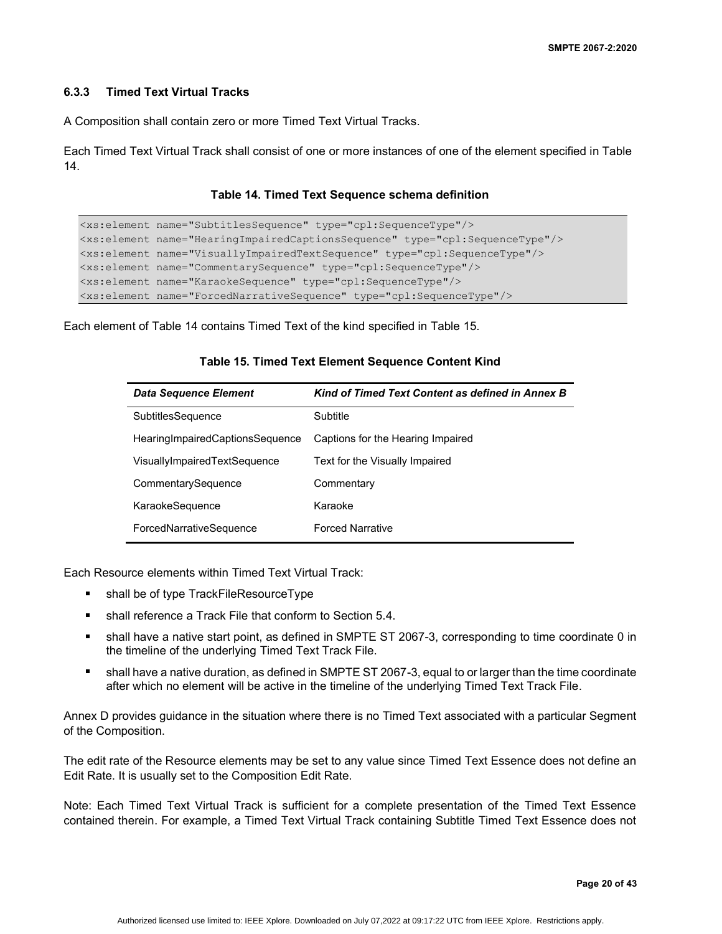## **6.3.3 Timed Text Virtual Tracks**

A Composition shall contain zero or more Timed Text Virtual Tracks.

Each Timed Text Virtual Track shall consist of one or more instances of one of the element specified in Table 14.

#### **Table 14. Timed Text Sequence schema definition**

```
<xs:element name="SubtitlesSequence" type="cpl:SequenceType"/>
<xs:element name="HearingImpairedCaptionsSequence" type="cpl:SequenceType"/>
<xs:element name="VisuallyImpairedTextSequence" type="cpl:SequenceType"/>
<xs:element name="CommentarySequence" type="cpl:SequenceType"/>
<xs:element name="KaraokeSequence" type="cpl:SequenceType"/>
<xs:element name="ForcedNarrativeSequence" type="cpl:SequenceType"/>
```
Each element of Table 14 contains Timed Text of the kind specified in Table 15.

| <b>Data Sequence Element</b>       | Kind of Timed Text Content as defined in Annex B |
|------------------------------------|--------------------------------------------------|
| SubtitlesSequence                  | Subtitle                                         |
| Hearing Impaired Captions Sequence | Captions for the Hearing Impaired                |
| VisuallyImpairedTextSequence       | Text for the Visually Impaired                   |
| CommentarySequence                 | Commentary                                       |
| KaraokeSequence                    | Karaoke                                          |
| ForcedNarrativeSequence            | <b>Forced Narrative</b>                          |

#### **Table 15. Timed Text Element Sequence Content Kind**

Each Resource elements within Timed Text Virtual Track:

- $\blacksquare$ shall be of type TrackFileResourceType
- shall reference a Track File that conform to Section 5.4.
- shall have a native start point, as defined in SMPTE ST 2067-3, corresponding to time coordinate 0 in the timeline of the underlying Timed Text Track File.
- shall have a native duration, as defined in SMPTE ST 2067-3, equal to or larger than the time coordinate after which no element will be active in the timeline of the underlying Timed Text Track File.

Annex D provides guidance in the situation where there is no Timed Text associated with a particular Segment of the Composition.

The edit rate of the Resource elements may be set to any value since Timed Text Essence does not define an Edit Rate. It is usually set to the Composition Edit Rate.

Note: Each Timed Text Virtual Track is sufficient for a complete presentation of the Timed Text Essence contained therein. For example, a Timed Text Virtual Track containing Subtitle Timed Text Essence does not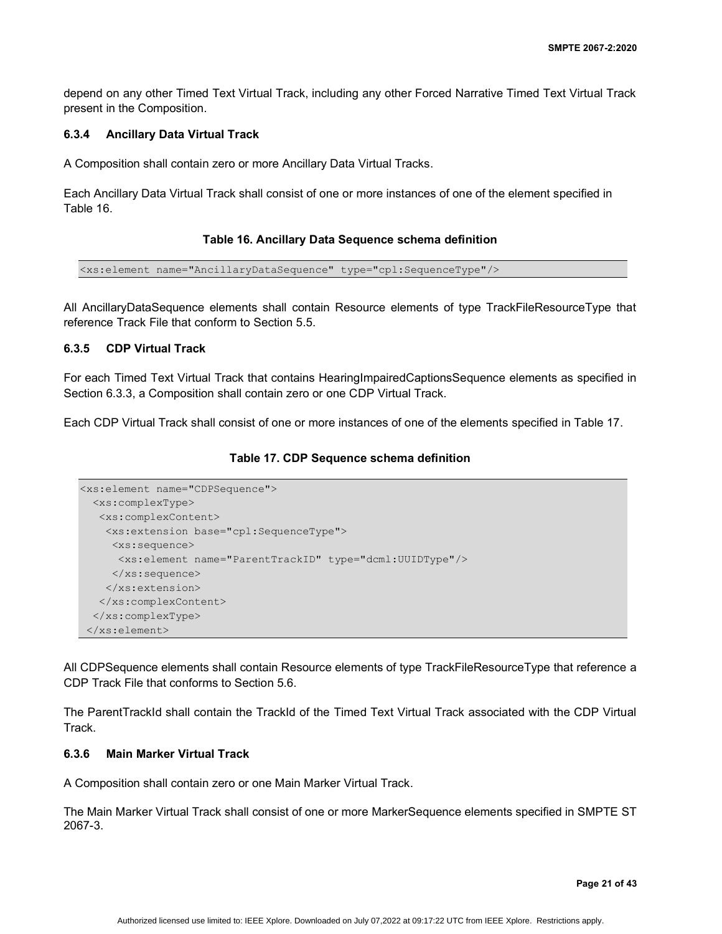depend on any other Timed Text Virtual Track, including any other Forced Narrative Timed Text Virtual Track present in the Composition.

#### **6.3.4 Ancillary Data Virtual Track**

A Composition shall contain zero or more Ancillary Data Virtual Tracks.

Each Ancillary Data Virtual Track shall consist of one or more instances of one of the element specified in Table 16.

#### **Table 16. Ancillary Data Sequence schema definition**

<xs:element name="AncillaryDataSequence" type="cpl:SequenceType"/>

All AncillaryDataSequence elements shall contain Resource elements of type TrackFileResourceType that reference Track File that conform to Section 5.5.

#### **6.3.5 CDP Virtual Track**

For each Timed Text Virtual Track that contains HearingImpairedCaptionsSequence elements as specified in Section 6.3.3, a Composition shall contain zero or one CDP Virtual Track.

Each CDP Virtual Track shall consist of one or more instances of one of the elements specified in Table 17.

#### **Table 17. CDP Sequence schema definition**

```
<xs:element name="CDPSequence">
   <xs:complexType>
    <xs:complexContent>
    <xs:extension base="cpl:SequenceType">
     <xs:sequence>
      <xs:element name="ParentTrackID" type="dcml:UUIDType"/>
      </xs:sequence>
     </xs:extension>
    </xs:complexContent>
   </xs:complexType>
 </xs:element>
```
All CDPSequence elements shall contain Resource elements of type TrackFileResourceType that reference a CDP Track File that conforms to Section 5.6.

The ParentTrackId shall contain the TrackId of the Timed Text Virtual Track associated with the CDP Virtual Track.

### **6.3.6 Main Marker Virtual Track**

A Composition shall contain zero or one Main Marker Virtual Track.

The Main Marker Virtual Track shall consist of one or more MarkerSequence elements specified in SMPTE ST 2067-3.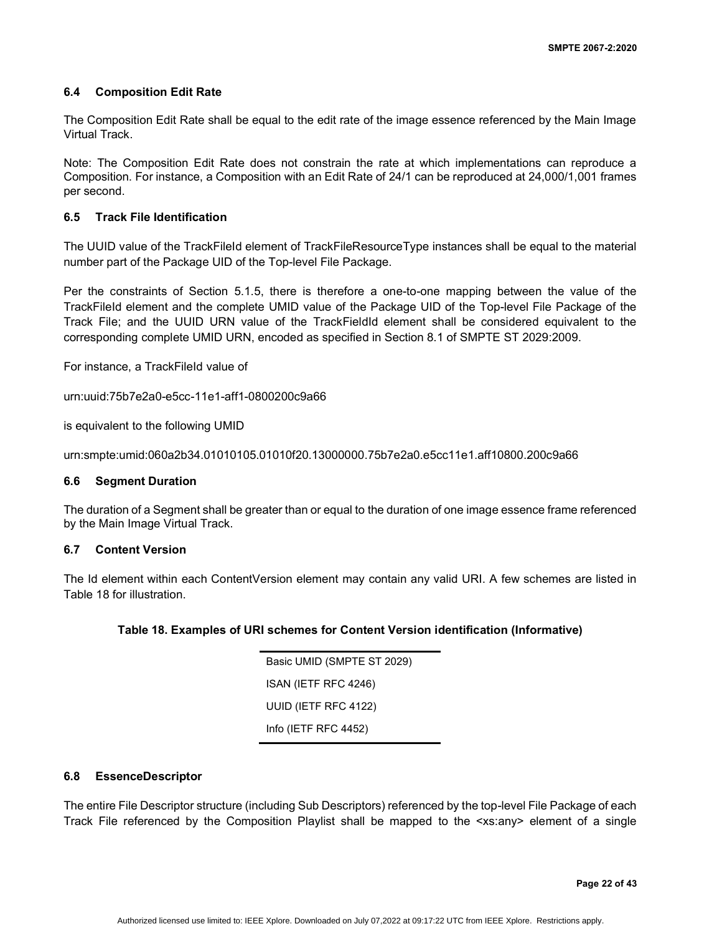#### **6.4 Composition Edit Rate**

The Composition Edit Rate shall be equal to the edit rate of the image essence referenced by the Main Image Virtual Track.

Note: The Composition Edit Rate does not constrain the rate at which implementations can reproduce a Composition. For instance, a Composition with an Edit Rate of 24/1 can be reproduced at 24,000/1,001 frames per second.

# **6.5 Track File Identification**

The UUID value of the TrackFileId element of TrackFileResourceType instances shall be equal to the material number part of the Package UID of the Top-level File Package.

Per the constraints of Section 5.1.5, there is therefore a one-to-one mapping between the value of the TrackFileId element and the complete UMID value of the Package UID of the Top-level File Package of the Track File; and the UUID URN value of the TrackFieldId element shall be considered equivalent to the corresponding complete UMID URN, encoded as specified in Section 8.1 of SMPTE ST 2029:2009.

For instance, a TrackFileId value of

urn:uuid:75b7e2a0-e5cc-11e1-aff1-0800200c9a66

is equivalent to the following UMID

urn:smpte:umid:060a2b34.01010105.01010f20.13000000.75b7e2a0.e5cc11e1.aff10800.200c9a66

#### **6.6 Segment Duration**

The duration of a Segment shall be greater than or equal to the duration of one image essence frame referenced by the Main Image Virtual Track.

#### **6.7 Content Version**

The Id element within each ContentVersion element may contain any valid URI. A few schemes are listed in Table 18 for illustration.

#### **Table 18. Examples of URI schemes for Content Version identification (Informative)**

| Basic UMID (SMPTE ST 2029) |
|----------------------------|
| ISAN (IETF RFC 4246)       |
| UUID (IETF RFC 4122)       |
| Info (IETF RFC 4452)       |

#### **6.8 EssenceDescriptor**

The entire File Descriptor structure (including Sub Descriptors) referenced by the top-level File Package of each Track File referenced by the Composition Playlist shall be mapped to the <xs:any> element of a single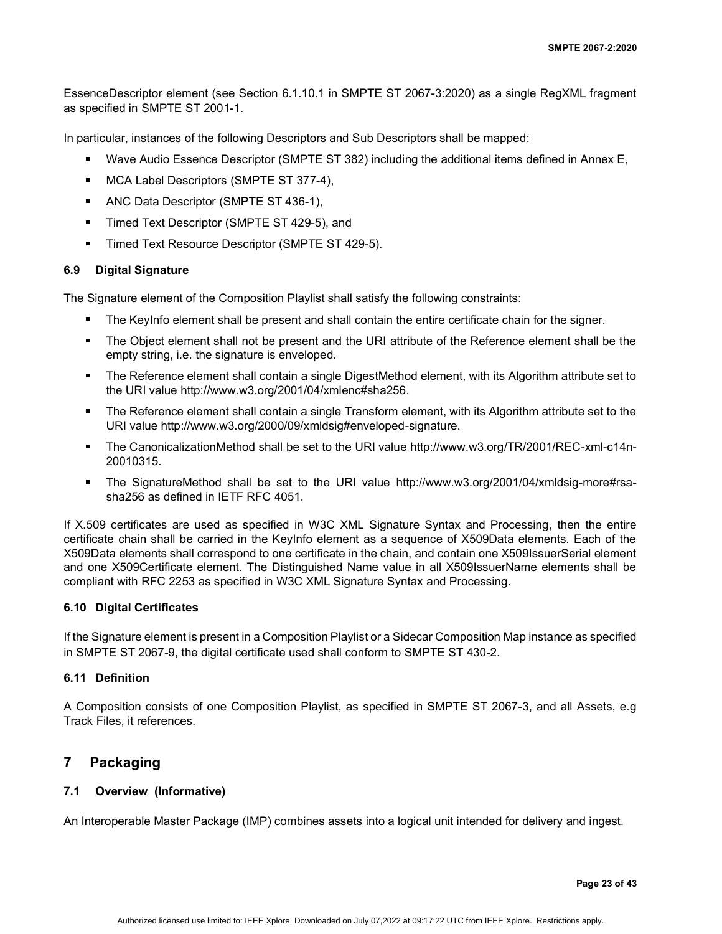EssenceDescriptor element (see Section 6.1.10.1 in SMPTE ST 2067-3:2020) as a single RegXML fragment as specified in SMPTE ST 2001-1.

In particular, instances of the following Descriptors and Sub Descriptors shall be mapped:

- Wave Audio Essence Descriptor (SMPTE ST 382) including the additional items defined in Annex E,
- MCA Label Descriptors (SMPTE ST 377-4),  $\blacksquare$
- $\blacksquare$ ANC Data Descriptor (SMPTE ST 436-1),
- Timed Text Descriptor (SMPTE ST 429-5), and ٠
- Timed Text Resource Descriptor (SMPTE ST 429-5).

# **6.9 Digital Signature**

The Signature element of the Composition Playlist shall satisfy the following constraints:

- The KeyInfo element shall be present and shall contain the entire certificate chain for the signer.
- The Object element shall not be present and the URI attribute of the Reference element shall be the empty string, i.e. the signature is enveloped.
- The Reference element shall contain a single DigestMethod element, with its Algorithm attribute set to the URI value http://www.w3.org/2001/04/xmlenc#sha256.
- The Reference element shall contain a single Transform element, with its Algorithm attribute set to the URI value http://www.w3.org/2000/09/xmldsig#enveloped-signature.
- The CanonicalizationMethod shall be set to the URI value http://www.w3.org/TR/2001/REC-xml-c14n-20010315.
- The SignatureMethod shall be set to the URI value http://www.w3.org/2001/04/xmldsig-more#rsasha256 as defined in IETF RFC 4051.

If X.509 certificates are used as specified in W3C XML Signature Syntax and Processing, then the entire certificate chain shall be carried in the KeyInfo element as a sequence of X509Data elements. Each of the X509Data elements shall correspond to one certificate in the chain, and contain one X509IssuerSerial element and one X509Certificate element. The Distinguished Name value in all X509IssuerName elements shall be compliant with RFC 2253 as specified in W3C XML Signature Syntax and Processing.

# **6.10 Digital Certificates**

If the Signature element is present in a Composition Playlist or a Sidecar Composition Map instance as specified in SMPTE ST 2067-9, the digital certificate used shall conform to SMPTE ST 430-2.

# **6.11 Definition**

A Composition consists of one Composition Playlist, as specified in SMPTE ST 2067-3, and all Assets, e.g Track Files, it references.

# **7 Packaging**

# **7.1 Overview (Informative)**

An Interoperable Master Package (IMP) combines assets into a logical unit intended for delivery and ingest.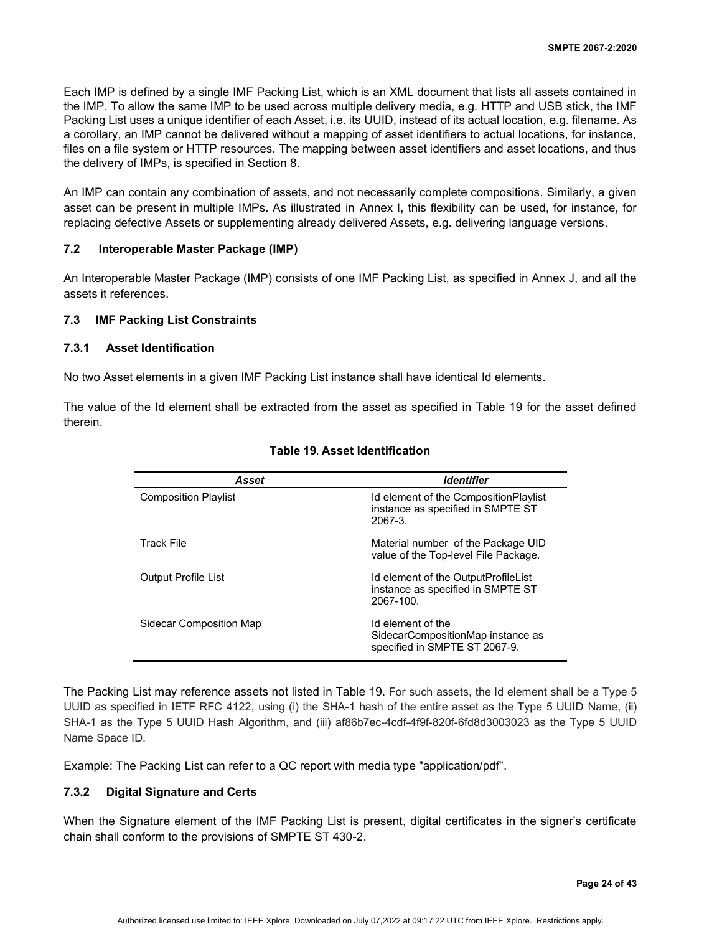Each IMP is defined by a single IMF Packing List, which is an XML document that lists all assets contained in the IMP. To allow the same IMP to be used across multiple delivery media, e.g. HTTP and USB stick, the IMF Packing List uses a unique identifier of each Asset, i.e. its UUID, instead of its actual location, e.g. filename. As a corollary, an IMP cannot be delivered without a mapping of asset identifiers to actual locations, for instance, files on a file system or HTTP resources. The mapping between asset identifiers and asset locations, and thus the delivery of IMPs, is specified in Section 8.

An IMP can contain any combination of assets, and not necessarily complete compositions. Similarly, a given asset can be present in multiple IMPs. As illustrated in Annex I, this flexibility can be used, for instance, for replacing defective Assets or supplementing already delivered Assets, e.g. delivering language versions.

#### **7.2 Interoperable Master Package (IMP)**

An Interoperable Master Package (IMP) consists of one IMF Packing List, as specified in Annex J, and all the assets it references.

#### **7.3 IMF Packing List Constraints**

#### **7.3.1 Asset Identification**

No two Asset elements in a given IMF Packing List instance shall have identical Id elements.

The value of the Id element shall be extracted from the asset as specified in Table 19 for the asset defined therein.

| Asset                       | <i><u><b>Identifier</b></u></i>                                                         |
|-----------------------------|-----------------------------------------------------------------------------------------|
| <b>Composition Playlist</b> | Id element of the CompositionPlaylist<br>instance as specified in SMPTE ST<br>2067-3    |
| <b>Track File</b>           | Material number of the Package UID<br>value of the Top-level File Package.              |
| <b>Output Profile List</b>  | Id element of the OutputProfileList<br>instance as specified in SMPTE ST<br>2067-100    |
| Sidecar Composition Map     | Id element of the<br>SidecarCompositionMap instance as<br>specified in SMPTE ST 2067-9. |

#### **Table 19. Asset Identification**

The Packing List may reference assets not listed in Table 19. For such assets, the Id element shall be a Type 5 UUID as specified in IETF RFC 4122, using (i) the SHA-1 hash of the entire asset as the Type 5 UUID Name, (ii) SHA-1 as the Type 5 UUID Hash Algorithm, and (iii) af86b7ec-4cdf-4f9f-820f-6fd8d3003023 as the Type 5 UUID Name Space ID.

Example: The Packing List can refer to a QC report with media type "application/pdf".

#### **7.3.2 Digital Signature and Certs**

When the Signature element of the IMF Packing List is present, digital certificates in the signer's certificate chain shall conform to the provisions of SMPTE ST 430-2.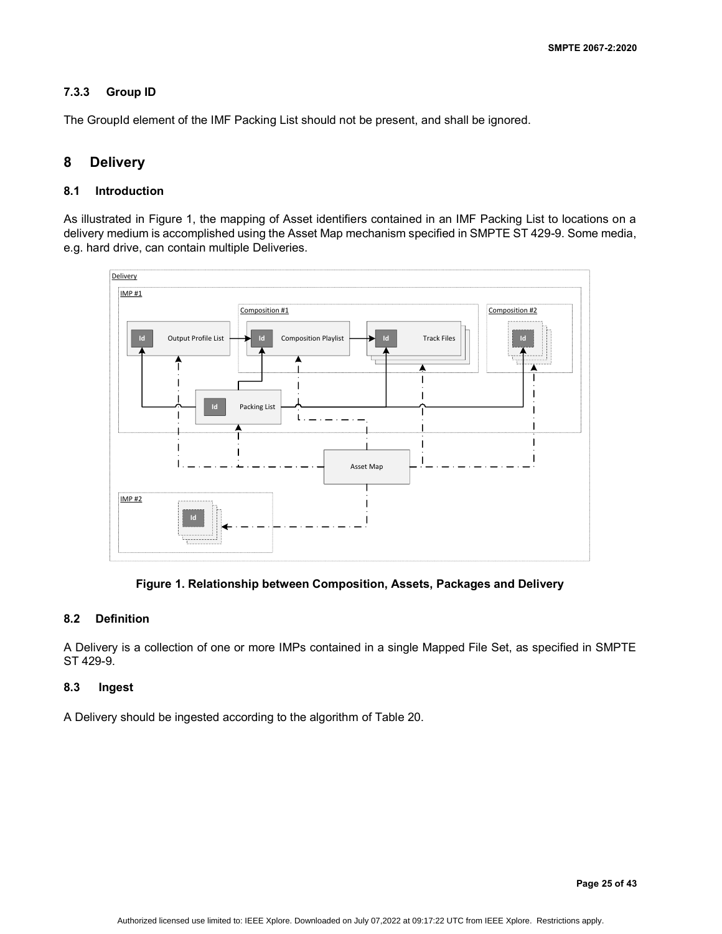## **7.3.3 Group ID**

The GroupId element of the IMF Packing List should not be present, and shall be ignored.

# **8 Delivery**

# **8.1 Introduction**

As illustrated in Figure 1, the mapping of Asset identifiers contained in an IMF Packing List to locations on a delivery medium is accomplished using the Asset Map mechanism specified in SMPTE ST 429-9. Some media, e.g. hard drive, can contain multiple Deliveries.



## **Figure 1. Relationship between Composition, Assets, Packages and Delivery**

#### **8.2 Definition**

A Delivery is a collection of one or more IMPs contained in a single Mapped File Set, as specified in SMPTE ST 429-9.

#### **8.3 Ingest**

A Delivery should be ingested according to the algorithm of Table 20.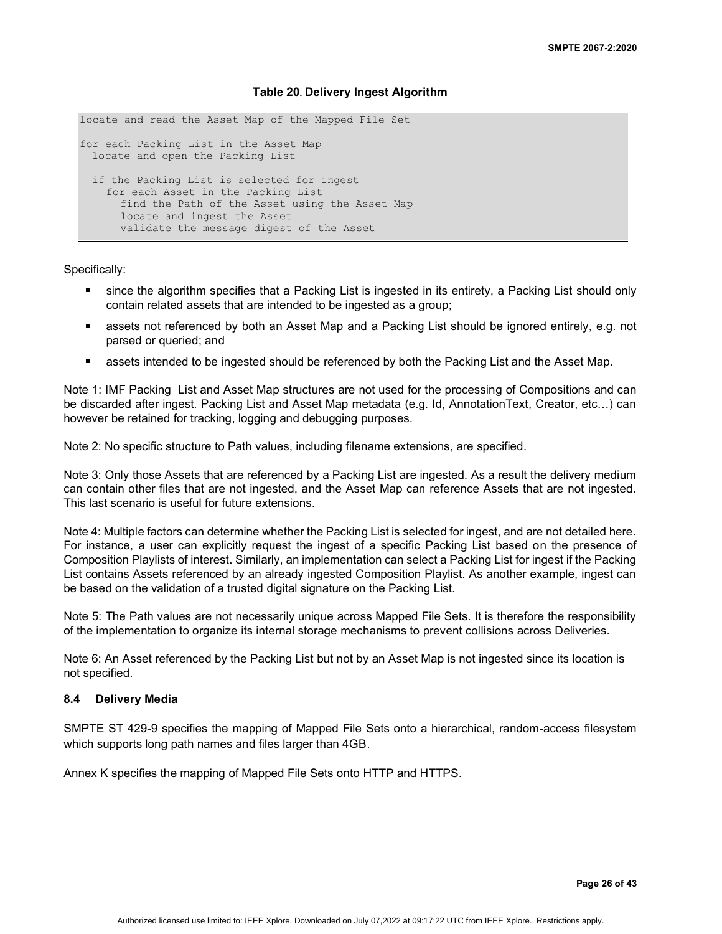#### **Table 20. Delivery Ingest Algorithm**

```
locate and read the Asset Map of the Mapped File Set
for each Packing List in the Asset Map
 locate and open the Packing List
 if the Packing List is selected for ingest
    for each Asset in the Packing List
     find the Path of the Asset using the Asset Map
      locate and ingest the Asset
      validate the message digest of the Asset
```
Specifically:

- since the algorithm specifies that a Packing List is ingested in its entirety, a Packing List should only contain related assets that are intended to be ingested as a group;
- assets not referenced by both an Asset Map and a Packing List should be ignored entirely, e.g. not parsed or queried; and
- assets intended to be ingested should be referenced by both the Packing List and the Asset Map.

Note 1: IMF Packing List and Asset Map structures are not used for the processing of Compositions and can be discarded after ingest. Packing List and Asset Map metadata (e.g. Id, AnnotationText, Creator, etc…) can however be retained for tracking, logging and debugging purposes.

Note 2: No specific structure to Path values, including filename extensions, are specified.

Note 3: Only those Assets that are referenced by a Packing List are ingested. As a result the delivery medium can contain other files that are not ingested, and the Asset Map can reference Assets that are not ingested. This last scenario is useful for future extensions.

Note 4: Multiple factors can determine whether the Packing List is selected for ingest, and are not detailed here. For instance, a user can explicitly request the ingest of a specific Packing List based on the presence of Composition Playlists of interest. Similarly, an implementation can select a Packing List for ingest if the Packing List contains Assets referenced by an already ingested Composition Playlist. As another example, ingest can be based on the validation of a trusted digital signature on the Packing List.

Note 5: The Path values are not necessarily unique across Mapped File Sets. It is therefore the responsibility of the implementation to organize its internal storage mechanisms to prevent collisions across Deliveries.

Note 6: An Asset referenced by the Packing List but not by an Asset Map is not ingested since its location is not specified.

#### **8.4 Delivery Media**

SMPTE ST 429-9 specifies the mapping of Mapped File Sets onto a hierarchical, random-access filesystem which supports long path names and files larger than 4GB.

Annex K specifies the mapping of Mapped File Sets onto HTTP and HTTPS.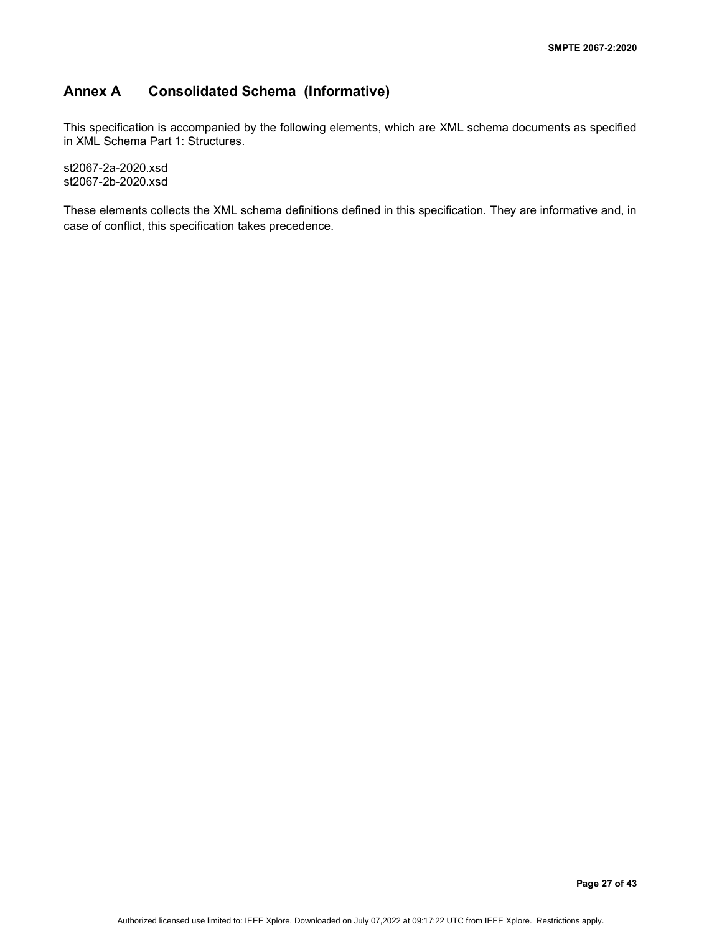# **Annex A Consolidated Schema (Informative)**

This specification is accompanied by the following elements, which are XML schema documents as specified in XML Schema Part 1: Structures.

st2067-2a-2020.xsd st2067-2b-2020.xsd

These elements collects the XML schema definitions defined in this specification. They are informative and, in case of conflict, this specification takes precedence.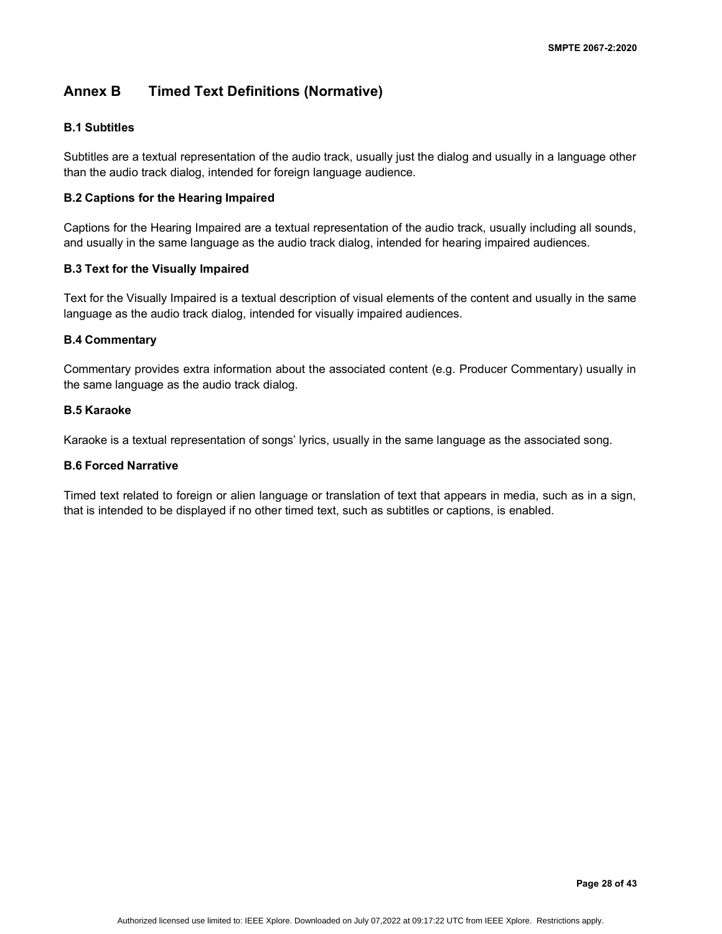# **Annex B Timed Text Definitions (Normative)**

#### **B.1 Subtitles**

Subtitles are a textual representation of the audio track, usually just the dialog and usually in a language other than the audio track dialog, intended for foreign language audience.

#### **B.2 Captions for the Hearing Impaired**

Captions for the Hearing Impaired are a textual representation of the audio track, usually including all sounds, and usually in the same language as the audio track dialog, intended for hearing impaired audiences.

#### **B.3 Text for the Visually Impaired**

Text for the Visually Impaired is a textual description of visual elements of the content and usually in the same language as the audio track dialog, intended for visually impaired audiences.

#### **B.4 Commentary**

Commentary provides extra information about the associated content (e.g. Producer Commentary) usually in the same language as the audio track dialog.

## **B.5 Karaoke**

Karaoke is a textual representation of songs' lyrics, usually in the same language as the associated song.

#### **B.6 Forced Narrative**

Timed text related to foreign or alien language or translation of text that appears in media, such as in a sign, that is intended to be displayed if no other timed text, such as subtitles or captions, is enabled.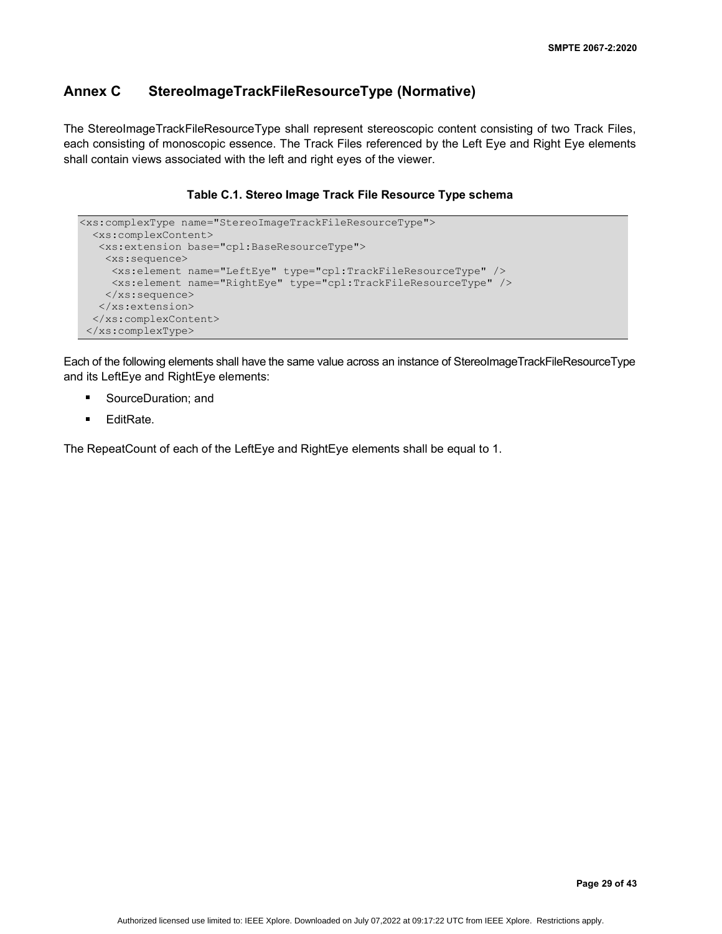# **Annex C StereoImageTrackFileResourceType (Normative)**

The StereoImageTrackFileResourceType shall represent stereoscopic content consisting of two Track Files, each consisting of monoscopic essence. The Track Files referenced by the Left Eye and Right Eye elements shall contain views associated with the left and right eyes of the viewer.

#### **Table C.1. Stereo Image Track File Resource Type schema**

```
<xs:complexType name="StereoImageTrackFileResourceType">
  <xs:complexContent>
   <xs:extension base="cpl:BaseResourceType">
    <xs:sequence>
     <xs:element name="LeftEye" type="cpl:TrackFileResourceType" />
     <xs:element name="RightEye" type="cpl:TrackFileResourceType" />
    </xs:sequence>
   </xs:extension>
  </xs:complexContent>
</xs:complexType>
```
Each of the following elements shall have the same value across an instance of StereoImageTrackFileResourceType and its LeftEye and RightEye elements:

- $\blacksquare$ SourceDuration; and
- $\blacksquare$ EditRate.

The RepeatCount of each of the LeftEye and RightEye elements shall be equal to 1.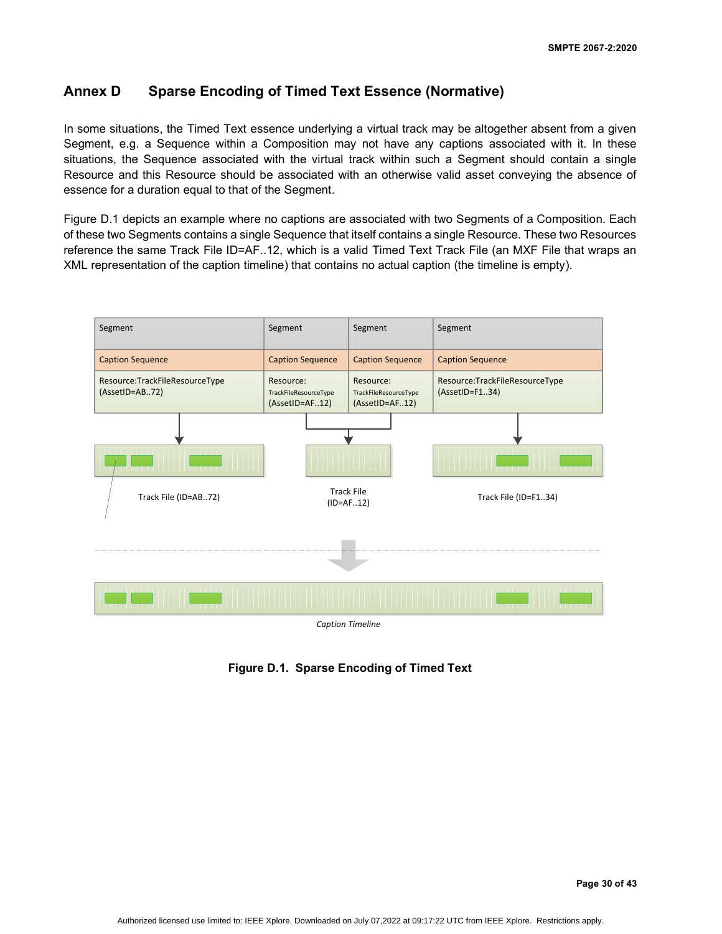# **Annex D Sparse Encoding of Timed Text Essence (Normative)**

In some situations, the Timed Text essence underlying a virtual track may be altogether absent from a given Segment, e.g. a Sequence within a Composition may not have any captions associated with it. In these situations, the Sequence associated with the virtual track within such a Segment should contain a single Resource and this Resource should be associated with an otherwise valid asset conveying the absence of essence for a duration equal to that of the Segment.

Figure D.1 depicts an example where no captions are associated with two Segments of a Composition. Each of these two Segments contains a single Sequence that itself contains a single Resource. These two Resources reference the same Track File ID=AF..12, which is a valid Timed Text Track File (an MXF File that wraps an XML representation of the caption timeline) that contains no actual caption (the timeline is empty).



**Figure D.1. Sparse Encoding of Timed Text**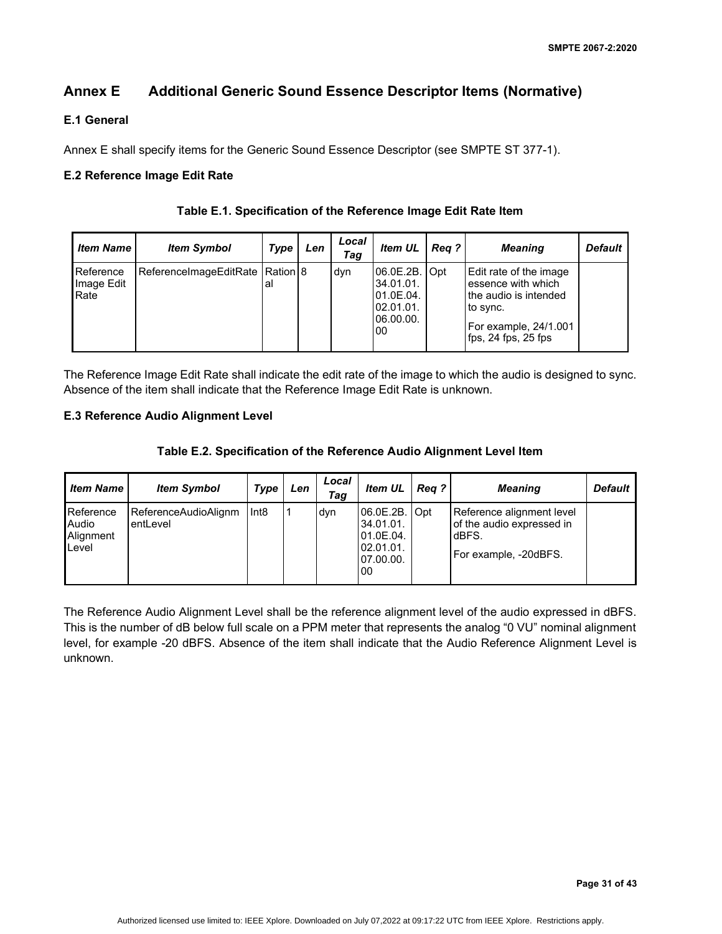# **Annex E Additional Generic Sound Essence Descriptor Items (Normative)**

# **E.1 General**

Annex E shall specify items for the Generic Sound Essence Descriptor (see SMPTE ST 377-1).

# **E.2 Reference Image Edit Rate**

| <b>Item Name</b>                | <b>Item Symbol</b>                  | Type | Len | Local<br>Tag | <b>Item UL</b>                                                            | Rea? | <b>Meaning</b>                                                                                                                      | <b>Default</b> |
|---------------------------------|-------------------------------------|------|-----|--------------|---------------------------------------------------------------------------|------|-------------------------------------------------------------------------------------------------------------------------------------|----------------|
| Reference<br>Image Edit<br>Rate | Reference mage Edit Rate   Ration 8 | al   |     | dyn          | 06.0E.2B. Opt<br>34.01.01.<br>I01.0E.04.<br>102.01.01.<br>06.00.00.<br>00 |      | Edit rate of the image<br>essence with which<br>I the audio is intended<br>to sync.<br>For example, 24/1.001<br>fps, 24 fps, 25 fps |                |

#### **Table E.1. Specification of the Reference Image Edit Rate Item**

The Reference Image Edit Rate shall indicate the edit rate of the image to which the audio is designed to sync. Absence of the item shall indicate that the Reference Image Edit Rate is unknown.

## **E.3 Reference Audio Alignment Level**

# **Table E.2. Specification of the Reference Audio Alignment Level Item**

| <b>Item Name</b>                         | <b>Item Symbol</b>               | <b>Type</b> | Len | Local<br>Tag | <b>Item UL</b>                                                          | Rea? | <b>Meaning</b>                                                                           | <b>Default</b> |
|------------------------------------------|----------------------------------|-------------|-----|--------------|-------------------------------------------------------------------------|------|------------------------------------------------------------------------------------------|----------------|
| Reference<br>Audio<br>Alignment<br>Level | ReferenceAudioAlignm<br>entLevel | l Int8      |     | dyn          | 06.0E.2B. Opt<br>34.01.01.<br>01.0E.04.<br>02.01.01.<br>07.00.00.<br>00 |      | Reference alignment level<br>of the audio expressed in<br>dBFS.<br>For example, -20dBFS. |                |

The Reference Audio Alignment Level shall be the reference alignment level of the audio expressed in dBFS. This is the number of dB below full scale on a PPM meter that represents the analog "0 VU" nominal alignment level, for example -20 dBFS. Absence of the item shall indicate that the Audio Reference Alignment Level is unknown.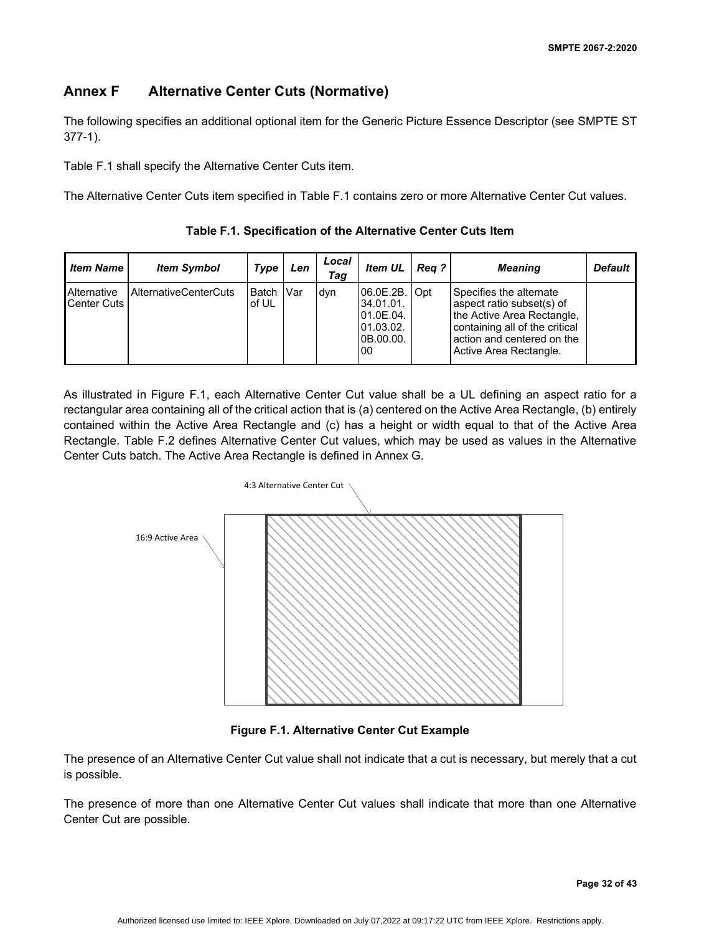# **Annex F Alternative Center Cuts (Normative)**

The following specifies an additional optional item for the Generic Picture Essence Descriptor (see SMPTE ST 377-1).

Table F.1 shall specify the Alternative Center Cuts item.

The Alternative Center Cuts item specified in Table F.1 contains zero or more Alternative Center Cut values.

| <b>Item Name</b>           | <b>Item Symbol</b>           | Type               | Len | Local<br>Tag | <b>Item UL</b>                                                          | Rea ? | <b>Meaning</b>                                                                                                                                                               | <b>Default</b> |
|----------------------------|------------------------------|--------------------|-----|--------------|-------------------------------------------------------------------------|-------|------------------------------------------------------------------------------------------------------------------------------------------------------------------------------|----------------|
| Alternative<br>Center Cuts | <b>AlternativeCenterCuts</b> | Batch Var<br>of UL |     | dyn          | 06.0E.2B. Opt<br>34.01.01.<br>01.0E.04.<br>01.03.02.<br>0B.00.00.<br>00 |       | Specifies the alternate<br>aspect ratio subset(s) of<br>the Active Area Rectangle,<br>containing all of the critical<br>action and centered on the<br>Active Area Rectangle. |                |

**Table F.1. Specification of the Alternative Center Cuts Item**

As illustrated in Figure F.1, each Alternative Center Cut value shall be a UL defining an aspect ratio for a rectangular area containing all of the critical action that is (a) centered on the Active Area Rectangle, (b) entirely contained within the Active Area Rectangle and (c) has a height or width equal to that of the Active Area Rectangle. Table F.2 defines Alternative Center Cut values, which may be used as values in the Alternative Center Cuts batch. The Active Area Rectangle is defined in Annex G.



**Figure F.1. Alternative Center Cut Example**

The presence of an Alternative Center Cut value shall not indicate that a cut is necessary, but merely that a cut is possible.

The presence of more than one Alternative Center Cut values shall indicate that more than one Alternative Center Cut are possible.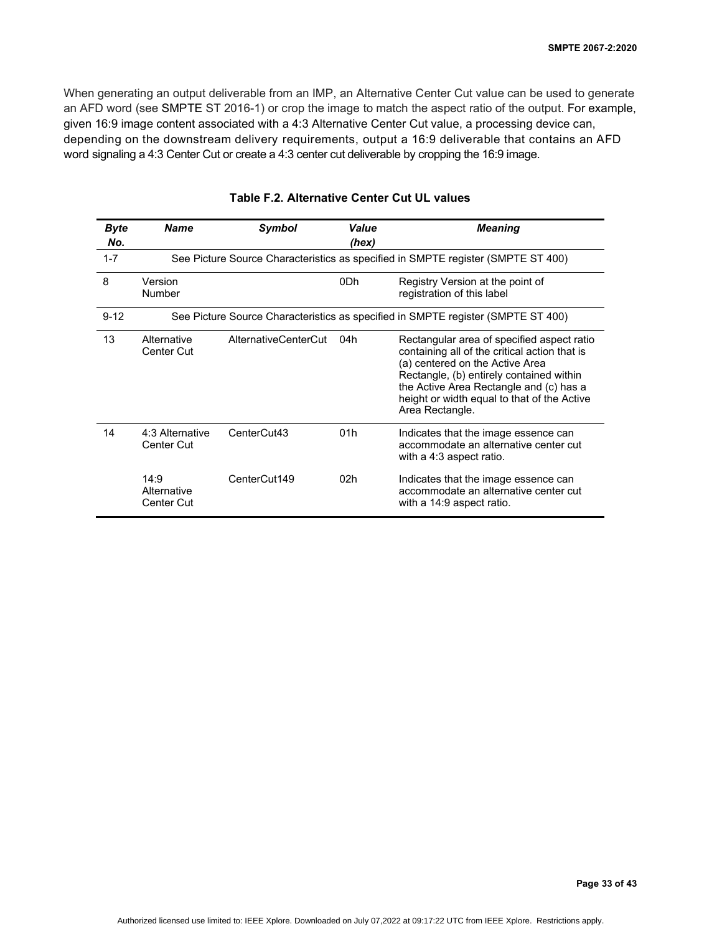When generating an output deliverable from an IMP, an Alternative Center Cut value can be used to generate an AFD word (see SMPTE ST 2016-1) or crop the image to match the aspect ratio of the output. For example, given 16:9 image content associated with a 4:3 Alternative Center Cut value, a processing device can, depending on the downstream delivery requirements, output a 16:9 deliverable that contains an AFD word signaling a 4:3 Center Cut or create a 4:3 center cut deliverable by cropping the 16:9 image.

| <b>Byte</b><br>No. | <b>Name</b>                       | Symbol                      | <b>Value</b><br>(hex) | <b>Meaning</b>                                                                                                                                                                                                                                                                          |
|--------------------|-----------------------------------|-----------------------------|-----------------------|-----------------------------------------------------------------------------------------------------------------------------------------------------------------------------------------------------------------------------------------------------------------------------------------|
| $1 - 7$            |                                   |                             |                       | See Picture Source Characteristics as specified in SMPTE register (SMPTE ST 400)                                                                                                                                                                                                        |
| 8                  | Version<br>Number                 |                             | 0 <sub>Dh</sub>       | Registry Version at the point of<br>registration of this label                                                                                                                                                                                                                          |
| $9 - 12$           |                                   |                             |                       | See Picture Source Characteristics as specified in SMPTE register (SMPTE ST 400)                                                                                                                                                                                                        |
| 13                 | Alternative<br>Center Cut         | <b>AlternativeCenterCut</b> | 04h                   | Rectangular area of specified aspect ratio<br>containing all of the critical action that is<br>(a) centered on the Active Area<br>Rectangle, (b) entirely contained within<br>the Active Area Rectangle and (c) has a<br>height or width equal to that of the Active<br>Area Rectangle. |
| 14                 | 4:3 Alternative<br>Center Cut     | CenterCut43                 | 01h                   | Indicates that the image essence can<br>accommodate an alternative center cut<br>with a 4:3 aspect ratio.                                                                                                                                                                               |
|                    | 14:9<br>Alternative<br>Center Cut | CenterCut149                | 02 <sub>h</sub>       | Indicates that the image essence can<br>accommodate an alternative center cut<br>with a 14:9 aspect ratio.                                                                                                                                                                              |

#### **Table F.2. Alternative Center Cut UL values**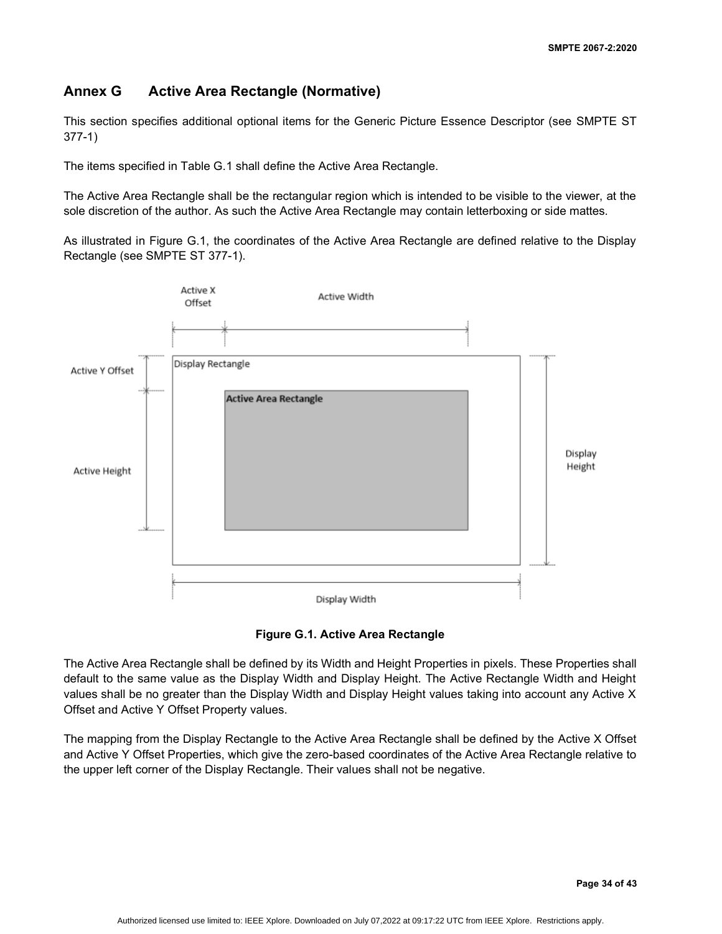# **Annex G Active Area Rectangle (Normative)**

This section specifies additional optional items for the Generic Picture Essence Descriptor (see SMPTE ST 377-1)

The items specified in Table G.1 shall define the Active Area Rectangle.

The Active Area Rectangle shall be the rectangular region which is intended to be visible to the viewer, at the sole discretion of the author. As such the Active Area Rectangle may contain letterboxing or side mattes.

As illustrated in Figure G.1, the coordinates of the Active Area Rectangle are defined relative to the Display Rectangle (see SMPTE ST 377-1).



**Figure G.1. Active Area Rectangle**

The Active Area Rectangle shall be defined by its Width and Height Properties in pixels. These Properties shall default to the same value as the Display Width and Display Height. The Active Rectangle Width and Height values shall be no greater than the Display Width and Display Height values taking into account any Active X Offset and Active Y Offset Property values.

The mapping from the Display Rectangle to the Active Area Rectangle shall be defined by the Active X Offset and Active Y Offset Properties, which give the zero-based coordinates of the Active Area Rectangle relative to the upper left corner of the Display Rectangle. Their values shall not be negative.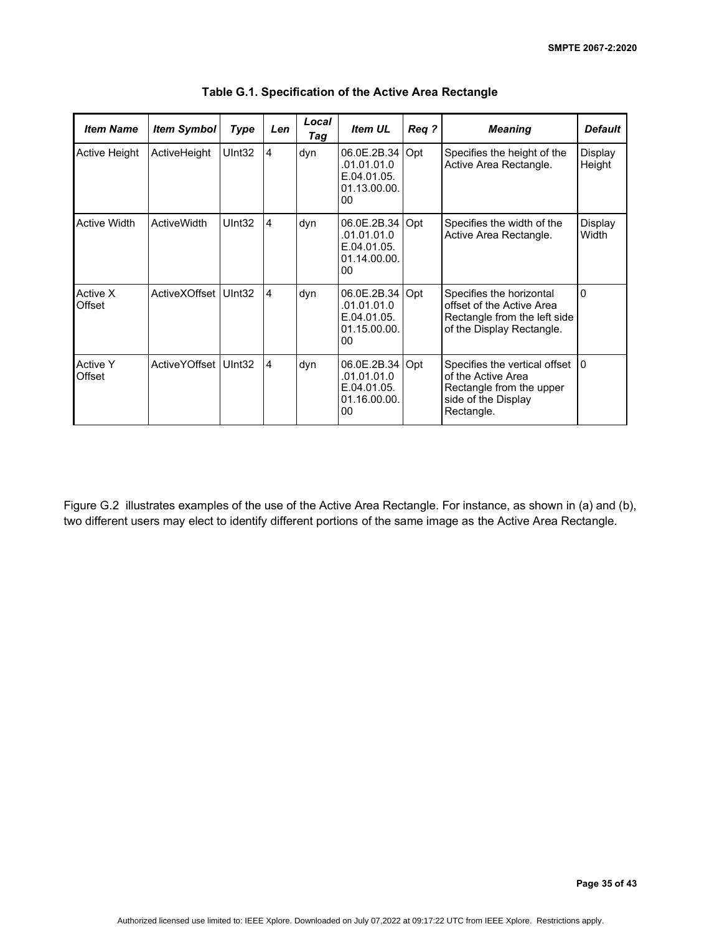| <b>Item Name</b>          | <b>Item Symbol</b>      | <b>Type</b> | Len | Local<br>Tag | <b>Item UL</b>                                                  | Reg? | <b>Meaning</b>                                                                                                           | <b>Default</b>    |
|---------------------------|-------------------------|-------------|-----|--------------|-----------------------------------------------------------------|------|--------------------------------------------------------------------------------------------------------------------------|-------------------|
| Active Height             | ActiveHeight            | UInt32      | 4   | dyn          | 06.0E.2B.34<br>.01.01.01.0<br>E.04.01.05.<br>01.13.00.00.<br>00 | Opt  | Specifies the height of the<br>Active Area Rectangle.                                                                    | Display<br>Height |
| <b>Active Width</b>       | ActiveWidth             | UInt32      | 4   | dyn          | 06.0E.2B.34<br>.01.01.01.0<br>E.04.01.05.<br>01.14.00.00.<br>00 | Opt  | Specifies the width of the<br>Active Area Rectangle.                                                                     | Display<br>Width  |
| Active X<br>Offset        | Active XOffset   UInt32 |             | 4   | dyn          | 06.0E.2B.34<br>.01.01.01.0<br>E.04.01.05.<br>01.15.00.00.<br>00 | Opt  | Specifies the horizontal<br>offset of the Active Area<br>Rectangle from the left side<br>of the Display Rectangle.       | $\Omega$          |
| <b>Active Y</b><br>Offset | ActiveYOffset UInt32    |             | 4   | dyn          | 06.0E.2B.34<br>.01.01.01.0<br>E.04.01.05.<br>01.16.00.00.<br>00 | Opt  | Specifies the vertical offset   0<br>of the Active Area<br>Rectangle from the upper<br>side of the Display<br>Rectangle. |                   |

| Table G.1. Specification of the Active Area Rectangle |  |  |
|-------------------------------------------------------|--|--|
|-------------------------------------------------------|--|--|

Figure G.2 illustrates examples of the use of the Active Area Rectangle. For instance, as shown in (a) and (b), two different users may elect to identify different portions of the same image as the Active Area Rectangle.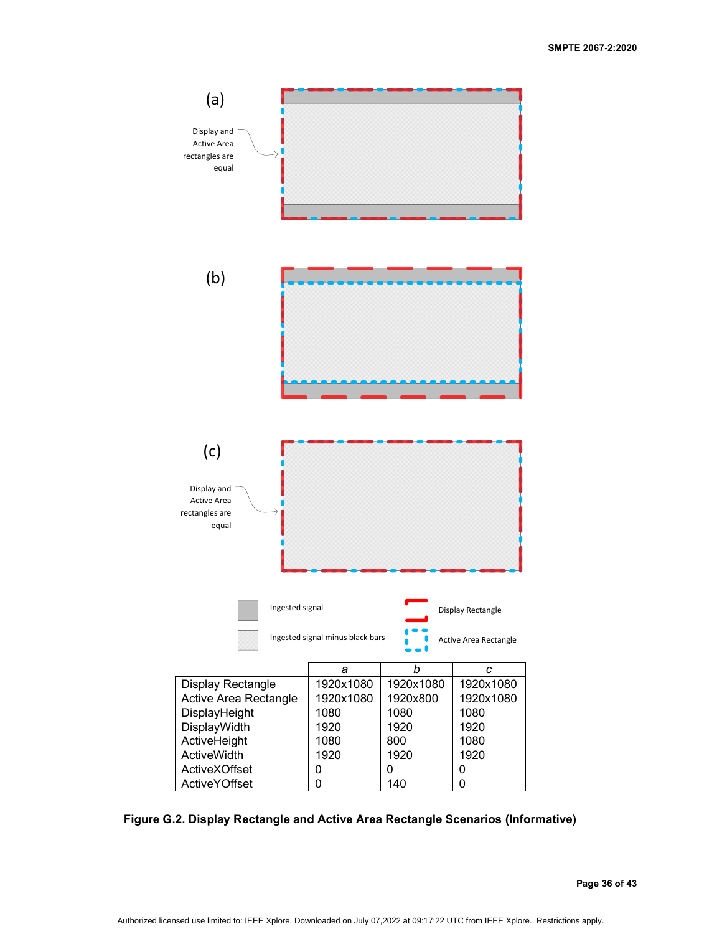

**Figure G.2. Display Rectangle and Active Area Rectangle Scenarios (Informative)**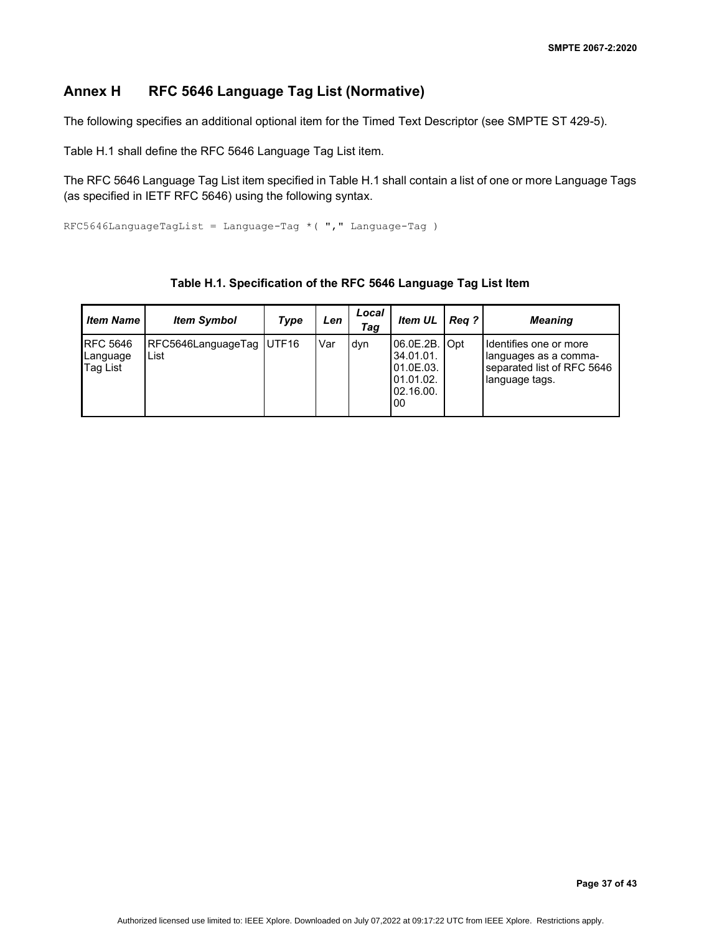# **Annex H RFC 5646 Language Tag List (Normative)**

The following specifies an additional optional item for the Timed Text Descriptor (see SMPTE ST 429-5).

Table H.1 shall define the RFC 5646 Language Tag List item.

The RFC 5646 Language Tag List item specified in Table H.1 shall contain a list of one or more Language Tags (as specified in IETF RFC 5646) using the following syntax.

RFC5646LanguageTagList = Language-Tag \*( "," Language-Tag )

| <b>Item Name</b>                        | <b>Item Symbol</b>                 | Type | Len | Local<br>Tag | <b>Item UL</b>                                                       | Rea ? | <b>Meaning</b>                                                                                  |
|-----------------------------------------|------------------------------------|------|-----|--------------|----------------------------------------------------------------------|-------|-------------------------------------------------------------------------------------------------|
| <b>RFC 5646</b><br>Language<br>Tag List | RFC5646LanguageTag   UTF16<br>List |      | Var | dyn          | 06.0E.2B.<br>34.01.01.<br>01.0E.03.<br>101.01.02.<br>02.16.00.<br>00 | Opt   | Identifies one or more<br>languages as a comma-<br>separated list of RFC 5646<br>language tags. |

#### **Table H.1. Specification of the RFC 5646 Language Tag List Item**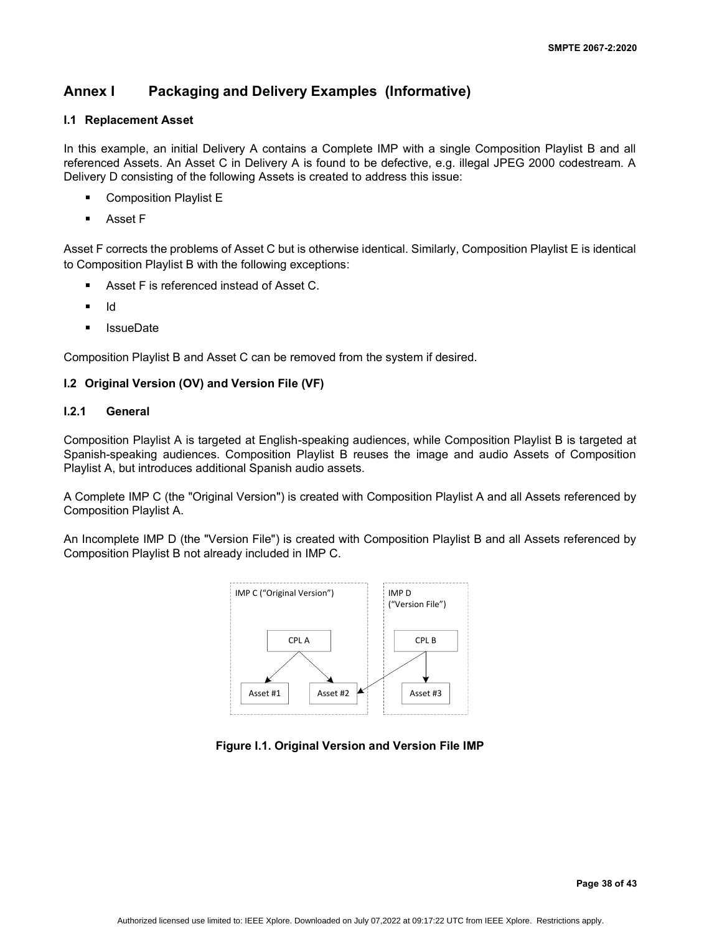# **Annex I Packaging and Delivery Examples (Informative)**

#### **I.1 Replacement Asset**

In this example, an initial Delivery A contains a Complete IMP with a single Composition Playlist B and all referenced Assets. An Asset C in Delivery A is found to be defective, e.g. illegal JPEG 2000 codestream. A Delivery D consisting of the following Assets is created to address this issue:

- Composition Playlist E
- $\blacksquare$ Asset F

Asset F corrects the problems of Asset C but is otherwise identical. Similarly, Composition Playlist E is identical to Composition Playlist B with the following exceptions:

- Asset F is referenced instead of Asset C.  $\blacksquare$
- Id  $\blacksquare$
- IssueDate

Composition Playlist B and Asset C can be removed from the system if desired.

#### **I.2 Original Version (OV) and Version File (VF)**

## **I.2.1 General**

Composition Playlist A is targeted at English-speaking audiences, while Composition Playlist B is targeted at Spanish-speaking audiences. Composition Playlist B reuses the image and audio Assets of Composition Playlist A, but introduces additional Spanish audio assets.

A Complete IMP C (the "Original Version") is created with Composition Playlist A and all Assets referenced by Composition Playlist A.

An Incomplete IMP D (the "Version File") is created with Composition Playlist B and all Assets referenced by Composition Playlist B not already included in IMP C.



**Figure I.1. Original Version and Version File IMP**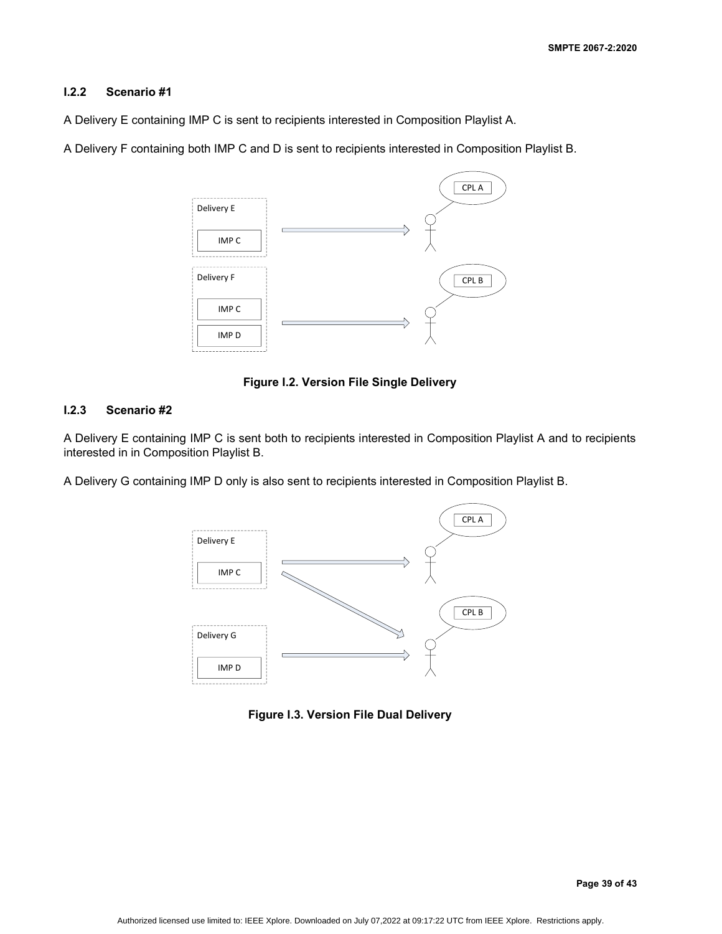# **I.2.2 Scenario #1**

A Delivery E containing IMP C is sent to recipients interested in Composition Playlist A.

A Delivery F containing both IMP C and D is sent to recipients interested in Composition Playlist B.



**Figure I.2. Version File Single Delivery**

# **I.2.3 Scenario #2**

A Delivery E containing IMP C is sent both to recipients interested in Composition Playlist A and to recipients interested in in Composition Playlist B.

A Delivery G containing IMP D only is also sent to recipients interested in Composition Playlist B.



**Figure I.3. Version File Dual Delivery**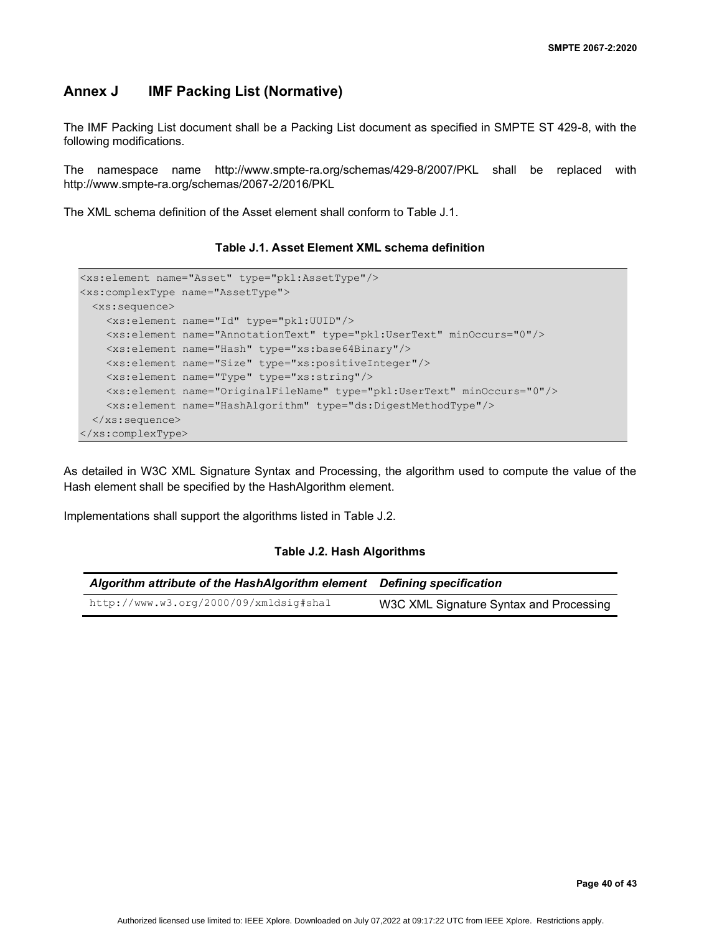# **Annex J IMF Packing List (Normative)**

The IMF Packing List document shall be a Packing List document as specified in SMPTE ST 429-8, with the following modifications.

The namespace name http://www.smpte-ra.org/schemas/429-8/2007/PKL shall be replaced with http://www.smpte-ra.org/schemas/2067-2/2016/PKL

The XML schema definition of the Asset element shall conform to Table J.1.

#### **Table J.1. Asset Element XML schema definition**

```
<xs:element name="Asset" type="pkl:AssetType"/>
<xs:complexType name="AssetType">
 <xs:sequence>
   <xs:element name="Id" type="pkl:UUID"/>
   <xs:element name="AnnotationText" type="pkl:UserText" minOccurs="0"/>
    <xs:element name="Hash" type="xs:base64Binary"/>
   <xs:element name="Size" type="xs:positiveInteger"/>
   <xs:element name="Type" type="xs:string"/>
   <xs:element name="OriginalFileName" type="pkl:UserText" minOccurs="0"/>
    <xs:element name="HashAlgorithm" type="ds:DigestMethodType"/>
 </xs:sequence>
</xs:complexType>
```
As detailed in W3C XML Signature Syntax and Processing, the algorithm used to compute the value of the Hash element shall be specified by the HashAlgorithm element.

Implementations shall support the algorithms listed in Table J.2.

#### **Table J.2. Hash Algorithms**

| Algorithm attribute of the HashAlgorithm element Defining specification |                                         |
|-------------------------------------------------------------------------|-----------------------------------------|
| http://www.w3.org/2000/09/xmldsig#sha1                                  | W3C XML Signature Syntax and Processing |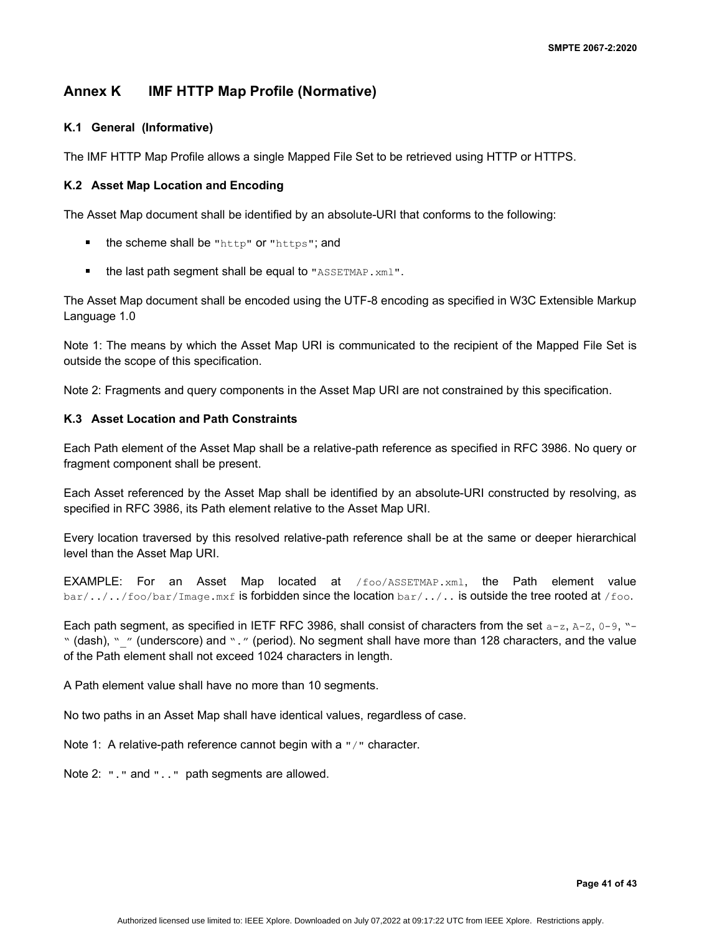# **Annex K IMF HTTP Map Profile (Normative)**

#### **K.1 General (Informative)**

The IMF HTTP Map Profile allows a single Mapped File Set to be retrieved using HTTP or HTTPS.

#### **K.2 Asset Map Location and Encoding**

The Asset Map document shall be identified by an absolute-URI that conforms to the following:

- the scheme shall be "http" or "https"; and
- the last path segment shall be equal to "ASSETMAP. xml".

The Asset Map document shall be encoded using the UTF-8 encoding as specified in W3C Extensible Markup Language 1.0

Note 1: The means by which the Asset Map URI is communicated to the recipient of the Mapped File Set is outside the scope of this specification.

Note 2: Fragments and query components in the Asset Map URI are not constrained by this specification.

#### **K.3 Asset Location and Path Constraints**

Each Path element of the Asset Map shall be a relative-path reference as specified in RFC 3986. No query or fragment component shall be present.

Each Asset referenced by the Asset Map shall be identified by an absolute-URI constructed by resolving, as specified in RFC 3986, its Path element relative to the Asset Map URI.

Every location traversed by this resolved relative-path reference shall be at the same or deeper hierarchical level than the Asset Map URI.

EXAMPLE: For an Asset Map located at /foo/ASSETMAP.xml, the Path element value bar/../../foo/bar/Image.mxf is forbidden since the location bar/../.. is outside the tree rooted at /foo.

Each path segment, as specified in IETF RFC 3986, shall consist of characters from the set a-z, A-Z, 0-9, "-" (dash), " " (underscore) and "." (period). No segment shall have more than 128 characters, and the value of the Path element shall not exceed 1024 characters in length.

A Path element value shall have no more than 10 segments.

No two paths in an Asset Map shall have identical values, regardless of case.

Note 1: A relative-path reference cannot begin with a "/" character.

Note 2: "." and ".." path segments are allowed.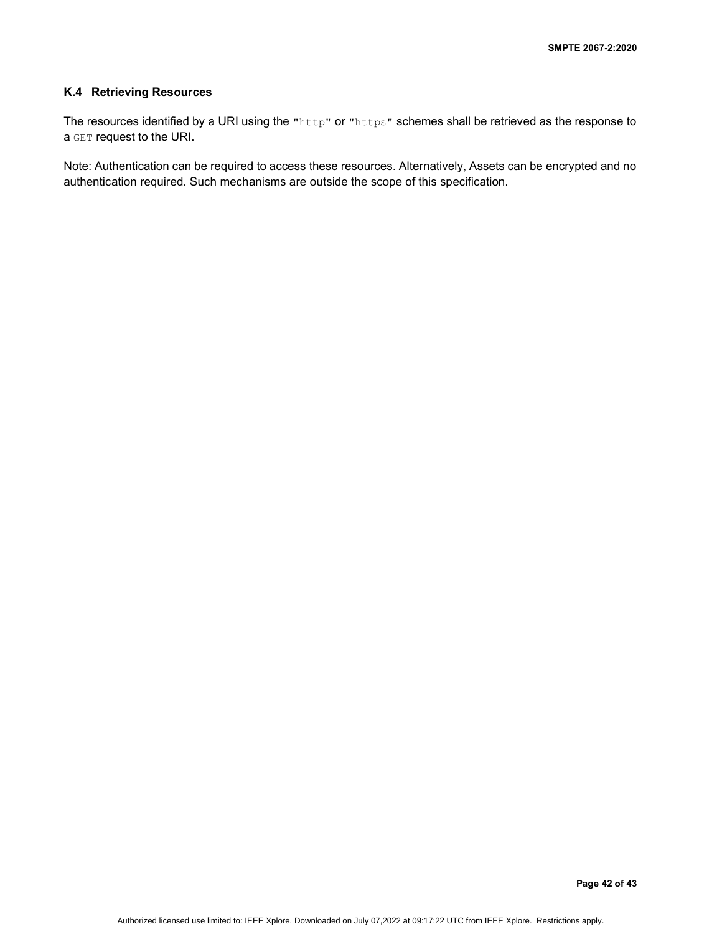### **K.4 Retrieving Resources**

The resources identified by a URI using the "http" or "https" schemes shall be retrieved as the response to a GET request to the URI.

Note: Authentication can be required to access these resources. Alternatively, Assets can be encrypted and no authentication required. Such mechanisms are outside the scope of this specification.